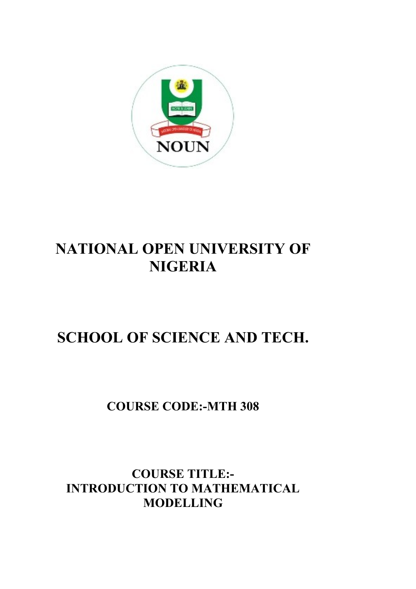

# **NATIONAL OPEN UNIVERSITY OF NIGERIA**

# **SCHOOL OF SCIENCE AND TECH.**

## **COURSE CODE:-MTH 308**

### **COURSE TITLE:- INTRODUCTION TO MATHEMATICAL MODELLING**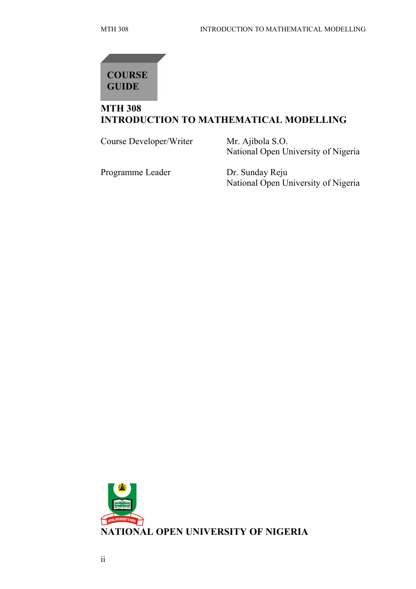

#### **MTH 308 INTRODUCTION TO MATHEMATICAL MODELLING**

Course Developer/Writer Mr. Ajibola S.O.

National Open University of Nigeria

Programme Leader Dr. Sunday Reju

National Open University of Nigeria

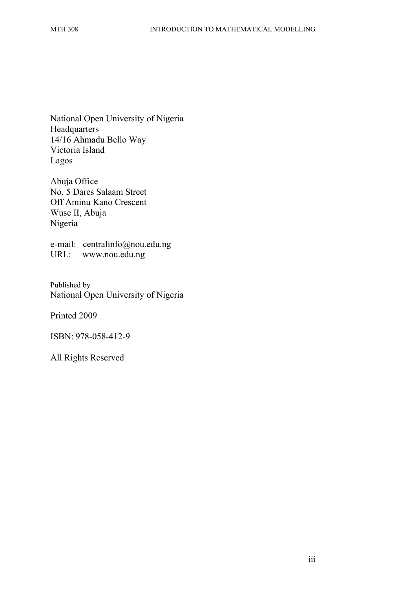National Open University of Nigeria Headquarters 14/16 Ahmadu Bello Way Victoria Island Lagos

Abuja Office No. 5 Dares Salaam Street Off Aminu Kano Crescent Wuse II, Abuja Nigeria

e-mail: centralinfo@nou.edu.ng URL: www.nou.edu.ng

Published by National Open University of Nigeria

Printed 2009

ISBN: 978-058-412-9

All Rights Reserved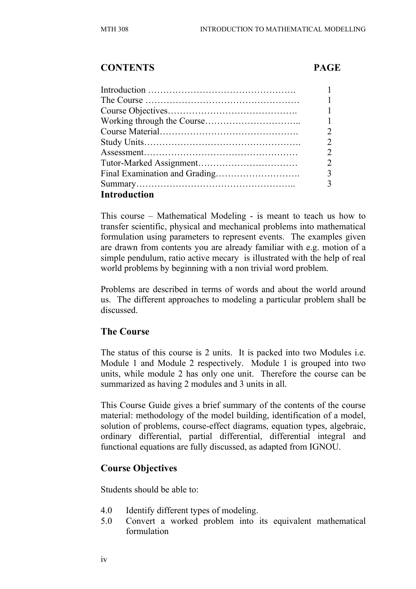#### **CONTENTS PAGE**

|                     | 1                             |
|---------------------|-------------------------------|
|                     | $\mathcal{D}_{\mathcal{L}}$   |
|                     | $\mathfrak{D}$                |
|                     | $\mathcal{D}_{\mathcal{L}}$   |
|                     | $\mathfrak{D}_{\mathfrak{p}}$ |
|                     | 3                             |
|                     | 3                             |
| <b>Introduction</b> |                               |

This course – Mathematical Modeling - is meant to teach us how to transfer scientific, physical and mechanical problems into mathematical formulation using parameters to represent events. The examples given are drawn from contents you are already familiar with e.g. motion of a simple pendulum, ratio active mecary is illustrated with the help of real world problems by beginning with a non trivial word problem.

Problems are described in terms of words and about the world around us. The different approaches to modeling a particular problem shall be discussed.

#### **The Course**

The status of this course is 2 units. It is packed into two Modules i.e. Module 1 and Module 2 respectively. Module 1 is grouped into two units, while module 2 has only one unit. Therefore the course can be summarized as having 2 modules and 3 units in all.

This Course Guide gives a brief summary of the contents of the course material: methodology of the model building, identification of a model, solution of problems, course-effect diagrams, equation types, algebraic, ordinary differential, partial differential, differential integral and functional equations are fully discussed, as adapted from IGNOU.

#### **Course Objectives**

Students should be able to:

- 4.0 Identify different types of modeling.
- 5.0 Convert a worked problem into its equivalent mathematical formulation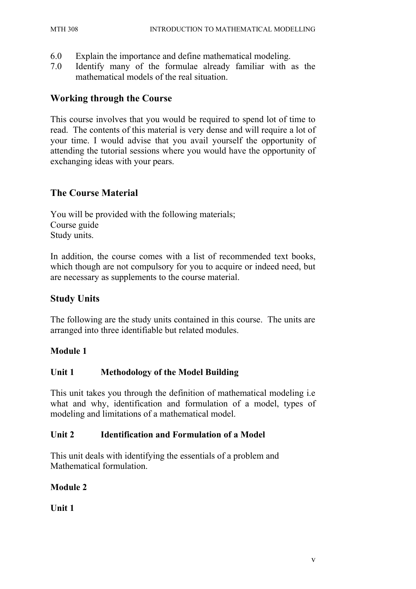- 6.0 Explain the importance and define mathematical modeling.
- 7.0 Identify many of the formulae already familiar with as the mathematical models of the real situation.

#### **Working through the Course**

This course involves that you would be required to spend lot of time to read. The contents of this material is very dense and will require a lot of your time. I would advise that you avail yourself the opportunity of attending the tutorial sessions where you would have the opportunity of exchanging ideas with your pears.

#### **The Course Material**

You will be provided with the following materials; Course guide Study units.

In addition, the course comes with a list of recommended text books, which though are not compulsory for you to acquire or indeed need, but are necessary as supplements to the course material.

#### **Study Units**

The following are the study units contained in this course. The units are arranged into three identifiable but related modules.

#### **Module 1**

#### **Unit 1 Methodology of the Model Building**

This unit takes you through the definition of mathematical modeling i.e what and why, identification and formulation of a model, types of modeling and limitations of a mathematical model.

#### **Unit 2 Identification and Formulation of a Model**

This unit deals with identifying the essentials of a problem and Mathematical formulation.

#### **Module 2**

**Unit 1**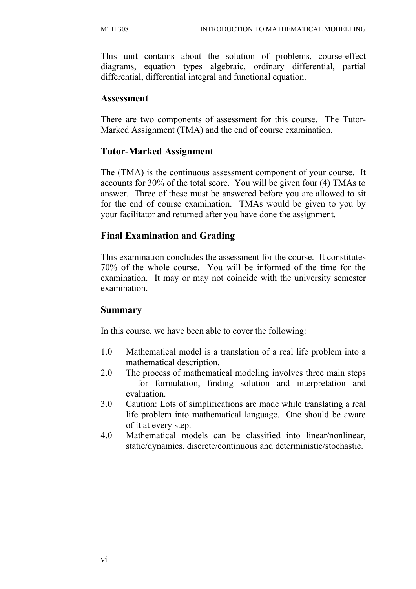This unit contains about the solution of problems, course-effect diagrams, equation types algebraic, ordinary differential, partial differential, differential integral and functional equation.

#### **Assessment**

There are two components of assessment for this course. The Tutor-Marked Assignment (TMA) and the end of course examination.

#### **Tutor-Marked Assignment**

The (TMA) is the continuous assessment component of your course. It accounts for 30% of the total score. You will be given four (4) TMAs to answer. Three of these must be answered before you are allowed to sit for the end of course examination. TMAs would be given to you by your facilitator and returned after you have done the assignment.

#### **Final Examination and Grading**

This examination concludes the assessment for the course. It constitutes 70% of the whole course. You will be informed of the time for the examination. It may or may not coincide with the university semester examination.

#### **Summary**

In this course, we have been able to cover the following:

- 1.0 Mathematical model is a translation of a real life problem into a mathematical description.
- 2.0 The process of mathematical modeling involves three main steps – for formulation, finding solution and interpretation and evaluation.
- 3.0 Caution: Lots of simplifications are made while translating a real life problem into mathematical language. One should be aware of it at every step.
- 4.0 Mathematical models can be classified into linear/nonlinear, static/dynamics, discrete/continuous and deterministic/stochastic.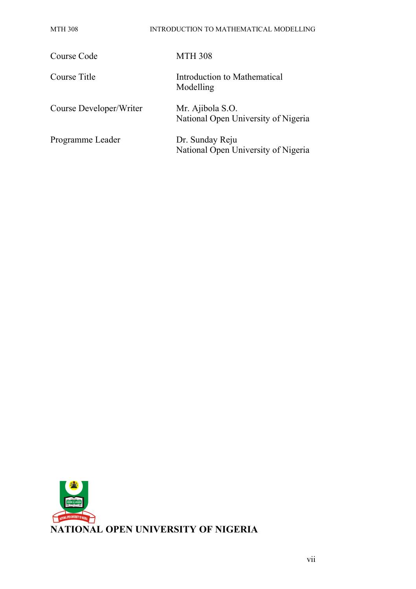#### MTH 308 INTRODUCTION TO MATHEMATICAL MODELLING

| Course Code             | <b>MTH 308</b>                                          |
|-------------------------|---------------------------------------------------------|
| Course Title            | Introduction to Mathematical<br>Modelling               |
| Course Developer/Writer | Mr. Ajibola S.O.<br>National Open University of Nigeria |
| Programme Leader        | Dr. Sunday Reju<br>National Open University of Nigeria  |

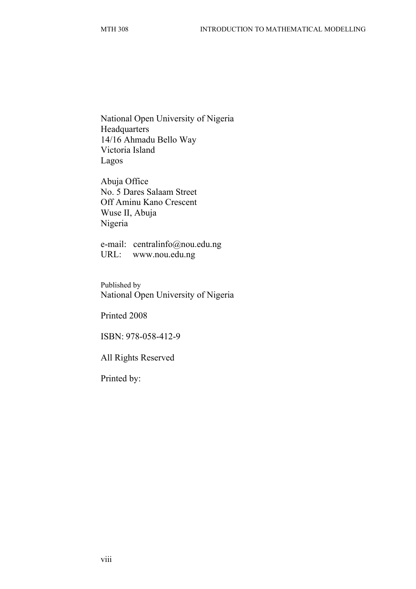National Open University of Nigeria **Headquarters** 14/16 Ahmadu Bello Way Victoria Island Lagos

Abuja Office No. 5 Dares Salaam Street Off Aminu Kano Crescent Wuse II, Abuja Nigeria

e-mail: centralinfo@nou.edu.ng URL: www.nou.edu.ng

Published by National Open University of Nigeria

Printed 2008

ISBN: 978-058-412-9

All Rights Reserved

Printed by: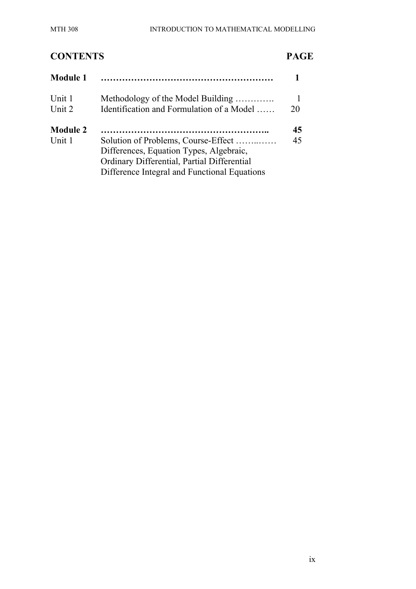### **CONTENTS PAGE Module 1 ………………………………………………… 1** Unit 1 Methodology of the Model Building …………. 1 Unit 2 Identification and Formulation of a Model …… 20 **Module 2 ……………………………………………….. 45** Unit 1 Solution of Problems, Course-Effect ……..…… 45 Differences, Equation Types, Algebraic, Ordinary Differential, Partial Differential Difference Integral and Functional Equations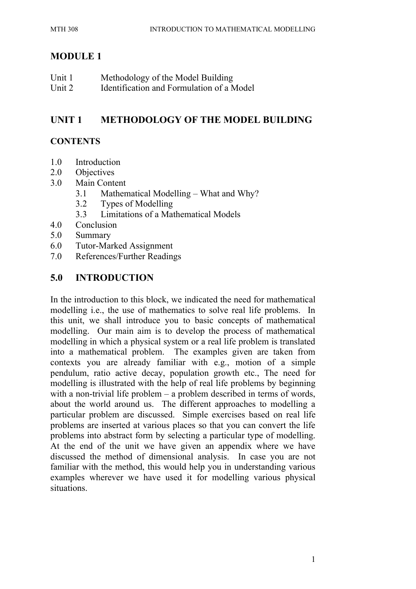#### **MODULE 1**

| Unit 1 | Methodology of the Model Building         |
|--------|-------------------------------------------|
| Unit 2 | Identification and Formulation of a Model |

### **UNIT 1 METHODOLOGY OF THE MODEL BUILDING**

#### **CONTENTS**

- 1.0 Introduction
- 2.0 Objectives
- 3.0 Main Content
	- 3.1 Mathematical Modelling What and Why?
	- 3.2 Types of Modelling
	- 3.3 Limitations of a Mathematical Models
- 4.0 Conclusion
- 5.0 Summary
- 6.0 Tutor-Marked Assignment
- 7.0 References/Further Readings

#### **5.0 INTRODUCTION**

In the introduction to this block, we indicated the need for mathematical modelling i.e., the use of mathematics to solve real life problems. In this unit, we shall introduce you to basic concepts of mathematical modelling. Our main aim is to develop the process of mathematical modelling in which a physical system or a real life problem is translated into a mathematical problem. The examples given are taken from contexts you are already familiar with e.g., motion of a simple pendulum, ratio active decay, population growth etc., The need for modelling is illustrated with the help of real life problems by beginning with a non-trivial life problem – a problem described in terms of words, about the world around us. The different approaches to modelling a particular problem are discussed. Simple exercises based on real life problems are inserted at various places so that you can convert the life problems into abstract form by selecting a particular type of modelling. At the end of the unit we have given an appendix where we have discussed the method of dimensional analysis. In case you are not familiar with the method, this would help you in understanding various examples wherever we have used it for modelling various physical situations.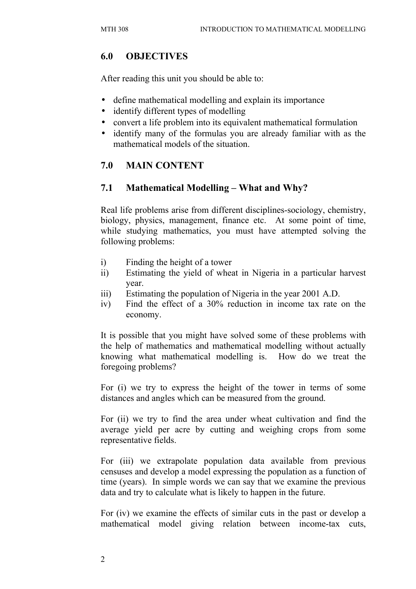#### **6.0 OBJECTIVES**

After reading this unit you should be able to:

- define mathematical modelling and explain its importance
- identify different types of modelling
- convert a life problem into its equivalent mathematical formulation
- identify many of the formulas you are already familiar with as the mathematical models of the situation.

#### **7.0 MAIN CONTENT**

#### **7.1 Mathematical Modelling – What and Why?**

Real life problems arise from different disciplines-sociology, chemistry, biology, physics, management, finance etc. At some point of time, while studying mathematics, you must have attempted solving the following problems:

- i) Finding the height of a tower
- ii) Estimating the yield of wheat in Nigeria in a particular harvest year.
- iii) Estimating the population of Nigeria in the year 2001 A.D.
- iv) Find the effect of a 30% reduction in income tax rate on the economy.

It is possible that you might have solved some of these problems with the help of mathematics and mathematical modelling without actually knowing what mathematical modelling is. How do we treat the foregoing problems?

For (i) we try to express the height of the tower in terms of some distances and angles which can be measured from the ground.

For (ii) we try to find the area under wheat cultivation and find the average yield per acre by cutting and weighing crops from some representative fields.

For (iii) we extrapolate population data available from previous censuses and develop a model expressing the population as a function of time (years). In simple words we can say that we examine the previous data and try to calculate what is likely to happen in the future.

For (iv) we examine the effects of similar cuts in the past or develop a mathematical model giving relation between income-tax cuts,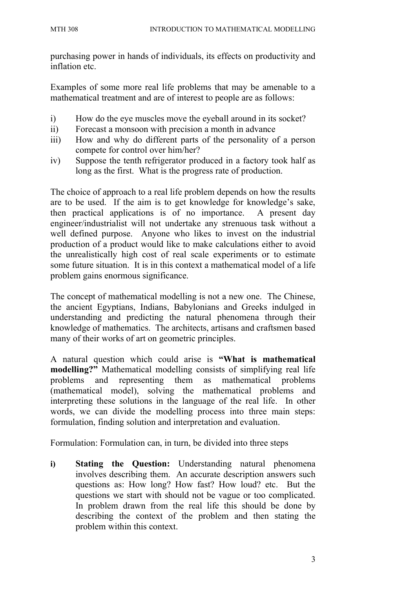purchasing power in hands of individuals, its effects on productivity and inflation etc.

Examples of some more real life problems that may be amenable to a mathematical treatment and are of interest to people are as follows:

- i) How do the eye muscles move the eyeball around in its socket?
- ii) Forecast a monsoon with precision a month in advance
- iii) How and why do different parts of the personality of a person compete for control over him/her?
- iv) Suppose the tenth refrigerator produced in a factory took half as long as the first. What is the progress rate of production.

The choice of approach to a real life problem depends on how the results are to be used. If the aim is to get knowledge for knowledge's sake, then practical applications is of no importance. A present day engineer/industrialist will not undertake any strenuous task without a well defined purpose. Anyone who likes to invest on the industrial production of a product would like to make calculations either to avoid the unrealistically high cost of real scale experiments or to estimate some future situation. It is in this context a mathematical model of a life problem gains enormous significance.

The concept of mathematical modelling is not a new one. The Chinese, the ancient Egyptians, Indians, Babylonians and Greeks indulged in understanding and predicting the natural phenomena through their knowledge of mathematics. The architects, artisans and craftsmen based many of their works of art on geometric principles.

A natural question which could arise is **"What is mathematical modelling?"** Mathematical modelling consists of simplifying real life problems and representing them as mathematical problems (mathematical model), solving the mathematical problems and interpreting these solutions in the language of the real life. In other words, we can divide the modelling process into three main steps: formulation, finding solution and interpretation and evaluation.

Formulation: Formulation can, in turn, be divided into three steps

**i) Stating the Question:** Understanding natural phenomena involves describing them. An accurate description answers such questions as: How long? How fast? How loud? etc. But the questions we start with should not be vague or too complicated. In problem drawn from the real life this should be done by describing the context of the problem and then stating the problem within this context.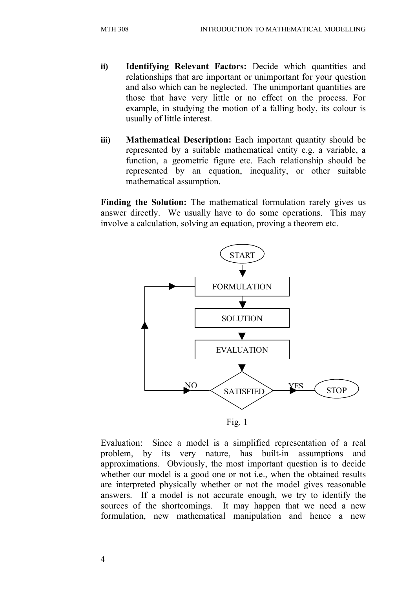- **ii) Identifying Relevant Factors:** Decide which quantities and relationships that are important or unimportant for your question and also which can be neglected. The unimportant quantities are those that have very little or no effect on the process. For example, in studying the motion of a falling body, its colour is usually of little interest.
- **iii) Mathematical Description:** Each important quantity should be represented by a suitable mathematical entity e.g. a variable, a function, a geometric figure etc. Each relationship should be represented by an equation, inequality, or other suitable mathematical assumption.

Finding the Solution: The mathematical formulation rarely gives us answer directly. We usually have to do some operations. This may involve a calculation, solving an equation, proving a theorem etc.



Evaluation: Since a model is a simplified representation of a real problem, by its very nature, has built-in assumptions and approximations. Obviously, the most important question is to decide whether our model is a good one or not *i.e.*, when the obtained results are interpreted physically whether or not the model gives reasonable answers. If a model is not accurate enough, we try to identify the sources of the shortcomings. It may happen that we need a new formulation, new mathematical manipulation and hence a new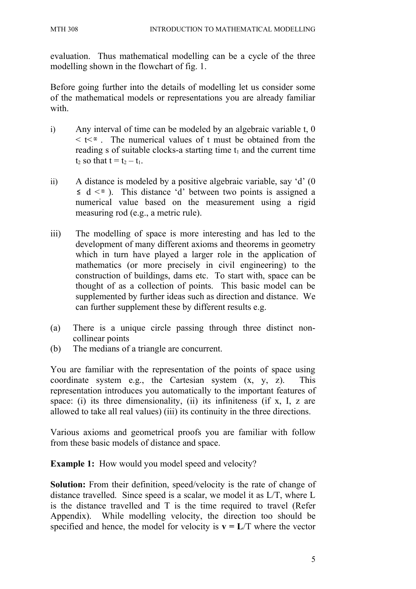evaluation. Thus mathematical modelling can be a cycle of the three modelling shown in the flowchart of fig. 1.

Before going further into the details of modelling let us consider some of the mathematical models or representations you are already familiar with.

- i) Any interval of time can be modeled by an algebraic variable t, 0  $\leq t \leq \infty$ . The numerical values of t must be obtained from the reading s of suitable clocks-a starting time  $t_1$  and the current time  $t_2$  so that  $t = t_2 - t_1$ .
- ii) A distance is modeled by a positive algebraic variable, say 'd' (0  $\leq d \leq \infty$ ). This distance 'd' between two points is assigned a numerical value based on the measurement using a rigid measuring rod (e.g., a metric rule).
- iii) The modelling of space is more interesting and has led to the development of many different axioms and theorems in geometry which in turn have played a larger role in the application of mathematics (or more precisely in civil engineering) to the construction of buildings, dams etc. To start with, space can be thought of as a collection of points. This basic model can be supplemented by further ideas such as direction and distance. We can further supplement these by different results e.g.
- (a) There is a unique circle passing through three distinct noncollinear points
- (b) The medians of a triangle are concurrent.

You are familiar with the representation of the points of space using coordinate system e.g., the Cartesian system (x, y, z). This representation introduces you automatically to the important features of space: (i) its three dimensionality, (ii) its infiniteness (if x, I, z are allowed to take all real values) (iii) its continuity in the three directions.

Various axioms and geometrical proofs you are familiar with follow from these basic models of distance and space.

**Example 1:** How would you model speed and velocity?

**Solution:** From their definition, speed/velocity is the rate of change of distance travelled. Since speed is a scalar, we model it as L/T, where L is the distance travelled and T is the time required to travel (Refer Appendix). While modelling velocity, the direction too should be specified and hence, the model for velocity is  $v = L/T$  where the vector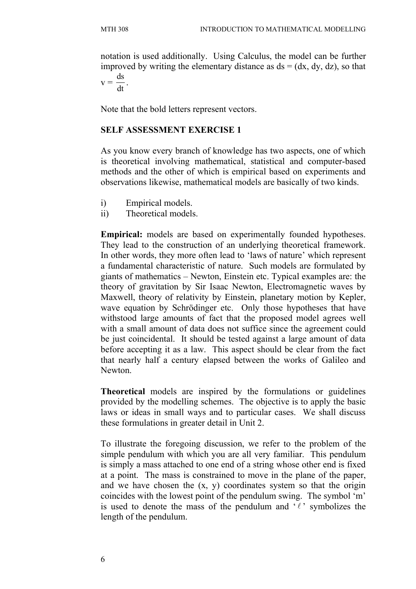notation is used additionally. Using Calculus, the model can be further improved by writing the elementary distance as  $ds = (dx, dy, dz)$ , so that  $\overline{d}$ .

$$
v = \frac{ds}{dt}
$$

Note that the bold letters represent vectors.

#### **SELF ASSESSMENT EXERCISE 1**

As you know every branch of knowledge has two aspects, one of which is theoretical involving mathematical, statistical and computer-based methods and the other of which is empirical based on experiments and observations likewise, mathematical models are basically of two kinds.

- i) Empirical models.
- ii) Theoretical models.

**Empirical:** models are based on experimentally founded hypotheses. They lead to the construction of an underlying theoretical framework. In other words, they more often lead to 'laws of nature' which represent a fundamental characteristic of nature. Such models are formulated by giants of mathematics – Newton, Einstein etc. Typical examples are: the theory of gravitation by Sir Isaac Newton, Electromagnetic waves by Maxwell, theory of relativity by Einstein, planetary motion by Kepler, wave equation by Schrödinger etc. Only those hypotheses that have withstood large amounts of fact that the proposed model agrees well with a small amount of data does not suffice since the agreement could be just coincidental. It should be tested against a large amount of data before accepting it as a law. This aspect should be clear from the fact that nearly half a century elapsed between the works of Galileo and Newton.

**Theoretical** models are inspired by the formulations or guidelines provided by the modelling schemes. The objective is to apply the basic laws or ideas in small ways and to particular cases. We shall discuss these formulations in greater detail in Unit 2.

To illustrate the foregoing discussion, we refer to the problem of the simple pendulum with which you are all very familiar. This pendulum is simply a mass attached to one end of a string whose other end is fixed at a point. The mass is constrained to move in the plane of the paper, and we have chosen the  $(x, y)$  coordinates system so that the origin coincides with the lowest point of the pendulum swing. The symbol 'm' is used to denote the mass of the pendulum and  $\ell$  symbolizes the length of the pendulum.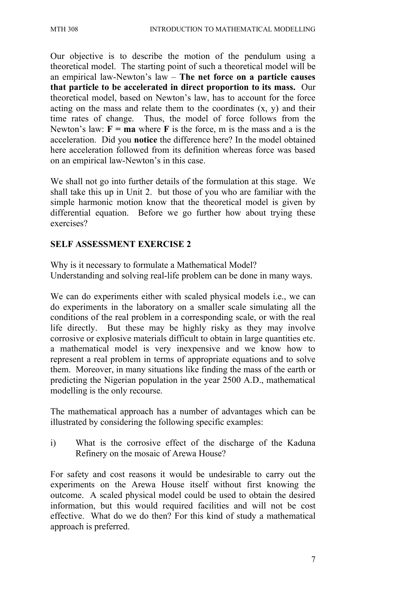Our objective is to describe the motion of the pendulum using a theoretical model. The starting point of such a theoretical model will be an empirical law-Newton's law – **The net force on a particle causes that particle to be accelerated in direct proportion to its mass.** Our theoretical model, based on Newton's law, has to account for the force acting on the mass and relate them to the coordinates  $(x, y)$  and their time rates of change. Thus, the model of force follows from the Newton's law:  $F = ma$  where  $F$  is the force, m is the mass and a is the acceleration. Did you **notice** the difference here? In the model obtained here acceleration followed from its definition whereas force was based on an empirical law-Newton's in this case.

We shall not go into further details of the formulation at this stage. We shall take this up in Unit 2. but those of you who are familiar with the simple harmonic motion know that the theoretical model is given by differential equation. Before we go further how about trying these exercises?

#### **SELF ASSESSMENT EXERCISE 2**

Why is it necessary to formulate a Mathematical Model? Understanding and solving real-life problem can be done in many ways.

We can do experiments either with scaled physical models i.e., we can do experiments in the laboratory on a smaller scale simulating all the conditions of the real problem in a corresponding scale, or with the real life directly. But these may be highly risky as they may involve corrosive or explosive materials difficult to obtain in large quantities etc. a mathematical model is very inexpensive and we know how to represent a real problem in terms of appropriate equations and to solve them. Moreover, in many situations like finding the mass of the earth or predicting the Nigerian population in the year 2500 A.D., mathematical modelling is the only recourse.

The mathematical approach has a number of advantages which can be illustrated by considering the following specific examples:

i) What is the corrosive effect of the discharge of the Kaduna Refinery on the mosaic of Arewa House?

For safety and cost reasons it would be undesirable to carry out the experiments on the Arewa House itself without first knowing the outcome. A scaled physical model could be used to obtain the desired information, but this would required facilities and will not be cost effective. What do we do then? For this kind of study a mathematical approach is preferred.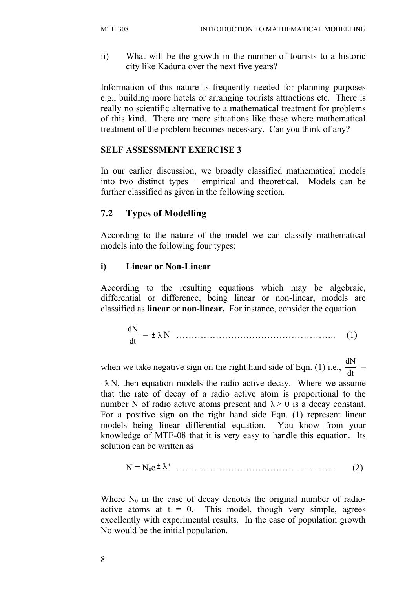ii) What will be the growth in the number of tourists to a historic city like Kaduna over the next five years?

Information of this nature is frequently needed for planning purposes e.g., building more hotels or arranging tourists attractions etc. There is really no scientific alternative to a mathematical treatment for problems of this kind. There are more situations like these where mathematical treatment of the problem becomes necessary. Can you think of any?

#### **SELF ASSESSMENT EXERCISE 3**

In our earlier discussion, we broadly classified mathematical models into two distinct types – empirical and theoretical. Models can be further classified as given in the following section.

#### **7.2 Types of Modelling**

According to the nature of the model we can classify mathematical models into the following four types:

#### **i) Linear or Non-Linear**

According to the resulting equations which may be algebraic, differential or difference, being linear or non-linear, models are classified as **linear** or **non-linear.** For instance, consider the equation

$$
\frac{dN}{dt} = \pm \lambda N \quad \dots \tag{1}
$$

when we take negative sign on the right hand side of Eqn. (1) i.e., dt dN =

 $-\lambda N$ , then equation models the radio active decay. Where we assume that the rate of decay of a radio active atom is proportional to the number N of radio active atoms present and  $\lambda > 0$  is a decay constant. For a positive sign on the right hand side Eqn. (1) represent linear models being linear differential equation. You know from your knowledge of MTE-08 that it is very easy to handle this equation. Its solution can be written as

$$
N = N_0 e^{\pm} \lambda^t \quad \dots \quad \dots \quad \dots \quad \dots \quad (2)
$$

Where  $N_0$  in the case of decay denotes the original number of radioactive atoms at  $t = 0$ . This model, though very simple, agrees excellently with experimental results. In the case of population growth No would be the initial population.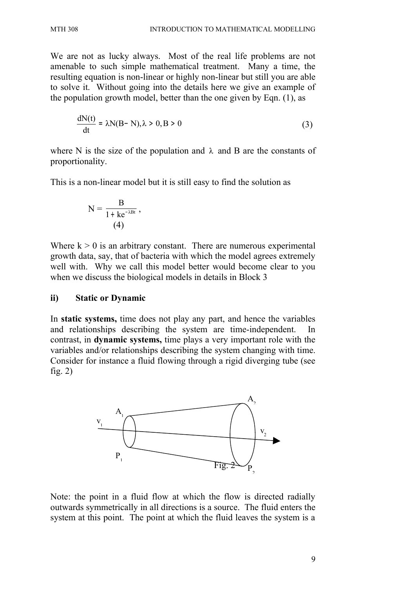We are not as lucky always. Most of the real life problems are not amenable to such simple mathematical treatment. Many a time, the resulting equation is non-linear or highly non-linear but still you are able to solve it. Without going into the details here we give an example of the population growth model, better than the one given by Eqn. (1), as

$$
\frac{dN(t)}{dt} = \lambda N(B-N), \lambda > 0, B > 0
$$
 (3)

where N is the size of the population and  $\lambda$  and B are the constants of proportionality.

This is a non-linear model but it is still easy to find the solution as

$$
N = \frac{B}{1 + ke^{-\lambda Bt}},
$$
  
(4)

Where  $k > 0$  is an arbitrary constant. There are numerous experimental growth data, say, that of bacteria with which the model agrees extremely well with. Why we call this model better would become clear to you when we discuss the biological models in details in Block 3

#### **ii) Static or Dynamic**

In **static systems,** time does not play any part, and hence the variables and relationships describing the system are time-independent. In contrast, in **dynamic systems,** time plays a very important role with the variables and/or relationships describing the system changing with time. Consider for instance a fluid flowing through a rigid diverging tube (see fig.  $2)$ 



Note: the point in a fluid flow at which the flow is directed radially outwards symmetrically in all directions is a source. The fluid enters the system at this point. The point at which the fluid leaves the system is a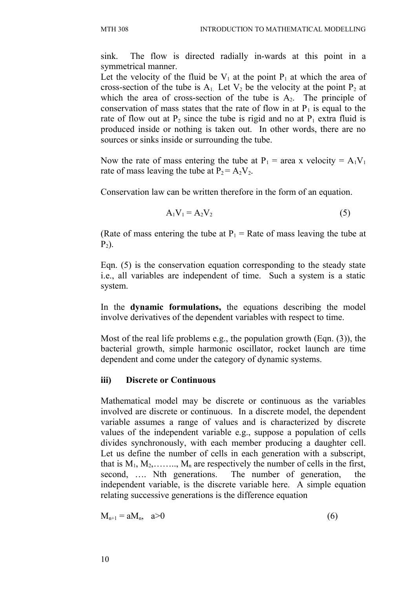sink. The flow is directed radially in-wards at this point in a symmetrical manner.

Let the velocity of the fluid be  $V_1$  at the point  $P_1$  at which the area of cross-section of the tube is  $A_1$ . Let  $V_2$  be the velocity at the point  $P_2$  at which the area of cross-section of the tube is  $A_2$ . The principle of conservation of mass states that the rate of flow in at  $P_1$  is equal to the rate of flow out at  $P_2$  since the tube is rigid and no at  $P_1$  extra fluid is produced inside or nothing is taken out. In other words, there are no sources or sinks inside or surrounding the tube.

Now the rate of mass entering the tube at  $P_1$  = area x velocity =  $A_1V_1$ rate of mass leaving the tube at  $P_2 = A_2 V_2$ .

Conservation law can be written therefore in the form of an equation.

$$
A_1 V_1 = A_2 V_2 \tag{5}
$$

(Rate of mass entering the tube at  $P_1$  = Rate of mass leaving the tube at  $P_2$ ).

Eqn. (5) is the conservation equation corresponding to the steady state i.e., all variables are independent of time. Such a system is a static system.

In the **dynamic formulations,** the equations describing the model involve derivatives of the dependent variables with respect to time.

Most of the real life problems e.g., the population growth (Eqn. (3)), the bacterial growth, simple harmonic oscillator, rocket launch are time dependent and come under the category of dynamic systems.

#### **iii) Discrete or Continuous**

Mathematical model may be discrete or continuous as the variables involved are discrete or continuous. In a discrete model, the dependent variable assumes a range of values and is characterized by discrete values of the independent variable e.g., suppose a population of cells divides synchronously, with each member producing a daughter cell. Let us define the number of cells in each generation with a subscript, that is  $M_1, M_2, \ldots, M_n$  are respectively the number of cells in the first, second, …. Nth generations. The number of generation, the independent variable, is the discrete variable here. A simple equation relating successive generations is the difference equation

$$
M_{n+1} = aM_n, \quad a>0 \tag{6}
$$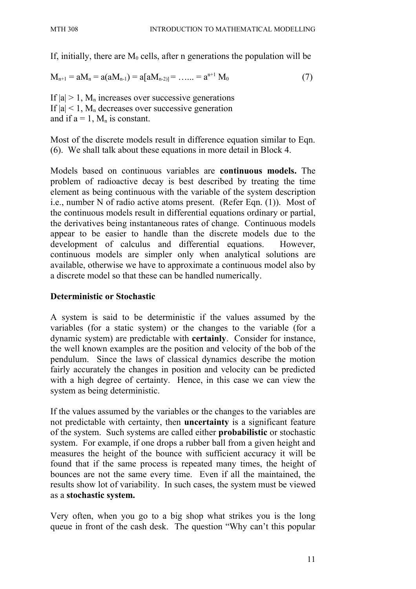If, initially, there are  $M_0$  cells, after n generations the population will be

 $M_{n+1} = aM_n = a(aM_{n-1}) = a[aM_{n-2}] = \ldots = a^{n+1} M_0$  (7)

If  $|a| > 1$ , M<sub>n</sub> increases over successive generations If  $|a| < 1$ , M<sub>n</sub> decreases over successive generation and if  $a = 1$ ,  $M_n$  is constant.

Most of the discrete models result in difference equation similar to Eqn. (6). We shall talk about these equations in more detail in Block 4.

Models based on continuous variables are **continuous models.** The problem of radioactive decay is best described by treating the time element as being continuous with the variable of the system description i.e., number N of radio active atoms present. (Refer Eqn. (1)). Most of the continuous models result in differential equations ordinary or partial, the derivatives being instantaneous rates of change. Continuous models appear to be easier to handle than the discrete models due to the development of calculus and differential equations. However, continuous models are simpler only when analytical solutions are available, otherwise we have to approximate a continuous model also by a discrete model so that these can be handled numerically.

#### **Deterministic or Stochastic**

A system is said to be deterministic if the values assumed by the variables (for a static system) or the changes to the variable (for a dynamic system) are predictable with **certainly**. Consider for instance, the well known examples are the position and velocity of the bob of the pendulum. Since the laws of classical dynamics describe the motion fairly accurately the changes in position and velocity can be predicted with a high degree of certainty. Hence, in this case we can view the system as being deterministic.

If the values assumed by the variables or the changes to the variables are not predictable with certainty, then **uncertainty** is a significant feature of the system. Such systems are called either **probabilistic** or stochastic system. For example, if one drops a rubber ball from a given height and measures the height of the bounce with sufficient accuracy it will be found that if the same process is repeated many times, the height of bounces are not the same every time. Even if all the maintained, the results show lot of variability. In such cases, the system must be viewed as a **stochastic system.**

Very often, when you go to a big shop what strikes you is the long queue in front of the cash desk. The question "Why can't this popular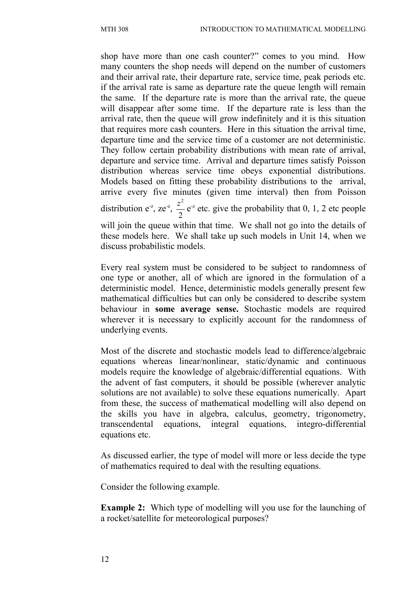shop have more than one cash counter?" comes to you mind. How many counters the shop needs will depend on the number of customers and their arrival rate, their departure rate, service time, peak periods etc. if the arrival rate is same as departure rate the queue length will remain the same. If the departure rate is more than the arrival rate, the queue will disappear after some time. If the departure rate is less than the arrival rate, then the queue will grow indefinitely and it is this situation that requires more cash counters. Here in this situation the arrival time, departure time and the service time of a customer are not deterministic. They follow certain probability distributions with mean rate of arrival, departure and service time. Arrival and departure times satisfy Poisson distribution whereas service time obeys exponential distributions. Models based on fitting these probability distributions to the arrival, arrive every five minutes (given time interval) then from Poisson distribution  $e^{-z}$ , ze<sup>-z</sup>, 2  $\frac{z^2}{2}$  e<sup>-z</sup> etc. give the probability that 0, 1, 2 etc people will join the queue within that time. We shall not go into the details of these models here. We shall take up such models in Unit 14, when we discuss probabilistic models.

Every real system must be considered to be subject to randomness of one type or another, all of which are ignored in the formulation of a deterministic model. Hence, deterministic models generally present few mathematical difficulties but can only be considered to describe system behaviour in **some average sense.** Stochastic models are required wherever it is necessary to explicitly account for the randomness of underlying events.

Most of the discrete and stochastic models lead to difference/algebraic equations whereas linear/nonlinear, static/dynamic and continuous models require the knowledge of algebraic/differential equations. With the advent of fast computers, it should be possible (wherever analytic solutions are not available) to solve these equations numerically. Apart from these, the success of mathematical modelling will also depend on the skills you have in algebra, calculus, geometry, trigonometry, transcendental equations, integral equations, integro-differential equations etc.

As discussed earlier, the type of model will more or less decide the type of mathematics required to deal with the resulting equations.

Consider the following example.

**Example 2:** Which type of modelling will you use for the launching of a rocket/satellite for meteorological purposes?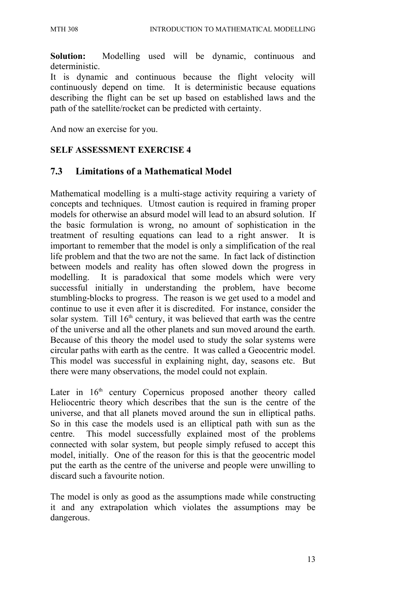**Solution:** Modelling used will be dynamic, continuous and deterministic.

It is dynamic and continuous because the flight velocity will continuously depend on time. It is deterministic because equations describing the flight can be set up based on established laws and the path of the satellite/rocket can be predicted with certainty.

And now an exercise for you.

#### **SELF ASSESSMENT EXERCISE 4**

#### **7.3 Limitations of a Mathematical Model**

Mathematical modelling is a multi-stage activity requiring a variety of concepts and techniques. Utmost caution is required in framing proper models for otherwise an absurd model will lead to an absurd solution. If the basic formulation is wrong, no amount of sophistication in the treatment of resulting equations can lead to a right answer. It is important to remember that the model is only a simplification of the real life problem and that the two are not the same. In fact lack of distinction between models and reality has often slowed down the progress in modelling. It is paradoxical that some models which were very successful initially in understanding the problem, have become stumbling-blocks to progress. The reason is we get used to a model and continue to use it even after it is discredited. For instance, consider the solar system. Till  $16<sup>th</sup>$  century, it was believed that earth was the centre of the universe and all the other planets and sun moved around the earth. Because of this theory the model used to study the solar systems were circular paths with earth as the centre. It was called a Geocentric model. This model was successful in explaining night, day, seasons etc. But there were many observations, the model could not explain.

Later in  $16<sup>th</sup>$  century Copernicus proposed another theory called Heliocentric theory which describes that the sun is the centre of the universe, and that all planets moved around the sun in elliptical paths. So in this case the models used is an elliptical path with sun as the centre. This model successfully explained most of the problems connected with solar system, but people simply refused to accept this model, initially. One of the reason for this is that the geocentric model put the earth as the centre of the universe and people were unwilling to discard such a favourite notion.

The model is only as good as the assumptions made while constructing it and any extrapolation which violates the assumptions may be dangerous.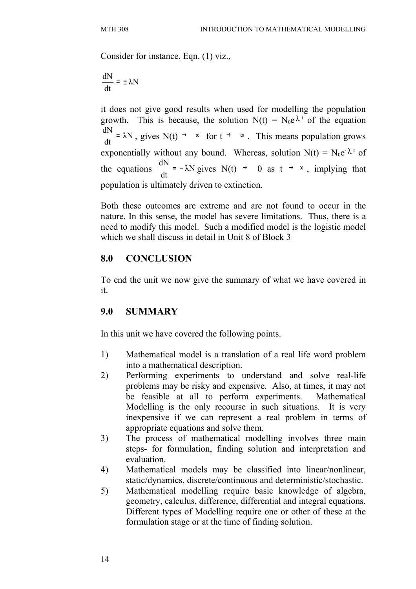Consider for instance, Eqn. (1) viz.,

$$
\frac{dN}{dt} = \pm \lambda N
$$

it does not give good results when used for modelling the population growth. This is because, the solution  $N(t) = N_0 e^{\lambda t}$  of the equation λN dt dN =  $\lambda$ N, gives N(t) → ∞ for t → ∞. This means population grows exponentially without any bound. Whereas, solution  $N(t) = N_0 e^{-\lambda t}$  of the equations  $\frac{dN}{dt} = -\lambda N$ dt dN  $= -\lambda N$  gives N(t)  $\rightarrow$  0 as t  $\rightarrow \infty$ , implying that population is ultimately driven to extinction.

Both these outcomes are extreme and are not found to occur in the nature. In this sense, the model has severe limitations. Thus, there is a need to modify this model. Such a modified model is the logistic model which we shall discuss in detail in Unit 8 of Block 3

### **8.0 CONCLUSION**

To end the unit we now give the summary of what we have covered in it.

### **9.0 SUMMARY**

In this unit we have covered the following points.

- 1) Mathematical model is a translation of a real life word problem into a mathematical description.
- 2) Performing experiments to understand and solve real-life problems may be risky and expensive. Also, at times, it may not be feasible at all to perform experiments. Mathematical Modelling is the only recourse in such situations. It is very inexpensive if we can represent a real problem in terms of appropriate equations and solve them.
- 3) The process of mathematical modelling involves three main steps- for formulation, finding solution and interpretation and evaluation.
- 4) Mathematical models may be classified into linear/nonlinear, static/dynamics, discrete/continuous and deterministic/stochastic.
- 5) Mathematical modelling require basic knowledge of algebra, geometry, calculus, difference, differential and integral equations. Different types of Modelling require one or other of these at the formulation stage or at the time of finding solution.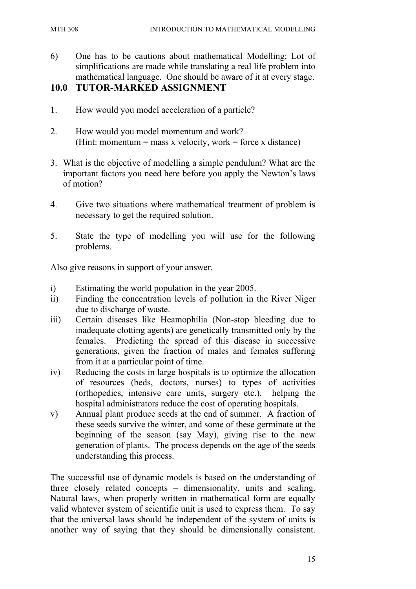6) One has to be cautions about mathematical Modelling: Lot of simplifications are made while translating a real life problem into mathematical language. One should be aware of it at every stage.

#### **10.0 TUTOR-MARKED ASSIGNMENT**

- 1. How would you model acceleration of a particle?
- 2. How would you model momentum and work? (Hint: momentum = mass x velocity, work = force x distance)
- 3. What is the objective of modelling a simple pendulum? What are the important factors you need here before you apply the Newton's laws of motion?
- 4. Give two situations where mathematical treatment of problem is necessary to get the required solution.
- 5. State the type of modelling you will use for the following problems.

Also give reasons in support of your answer.

- i) Estimating the world population in the year 2005.
- ii) Finding the concentration levels of pollution in the River Niger due to discharge of waste.
- iii) Certain diseases like Heamophilia (Non-stop bleeding due to inadequate clotting agents) are genetically transmitted only by the females. Predicting the spread of this disease in successive generations, given the fraction of males and females suffering from it at a particular point of time.
- iv) Reducing the costs in large hospitals is to optimize the allocation of resources (beds, doctors, nurses) to types of activities (orthopedics, intensive care units, surgery etc.). helping the hospital administrators reduce the cost of operating hospitals.
- v) Annual plant produce seeds at the end of summer. A fraction of these seeds survive the winter, and some of these germinate at the beginning of the season (say May), giving rise to the new generation of plants. The process depends on the age of the seeds understanding this process.

The successful use of dynamic models is based on the understanding of three closely related concepts – dimensionality, units and scaling. Natural laws, when properly written in mathematical form are equally valid whatever system of scientific unit is used to express them. To say that the universal laws should be independent of the system of units is another way of saying that they should be dimensionally consistent.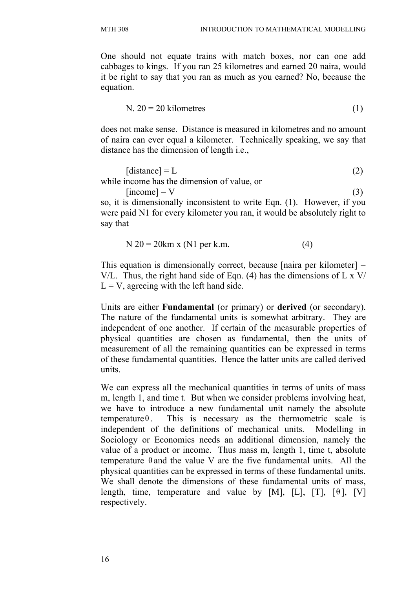One should not equate trains with match boxes, nor can one add cabbages to kings. If you ran 25 kilometres and earned 20 naira, would it be right to say that you ran as much as you earned? No, because the equation.

$$
N. 20 = 20 \text{ kilometers} \tag{1}
$$

does not make sense. Distance is measured in kilometres and no amount of naira can ever equal a kilometer. Technically speaking, we say that distance has the dimension of length i.e.,

$$
[distance] = L \tag{2}
$$

while income has the dimension of value, or  $[\text{income}] = \text{V}$  (3)

so, it is dimensionally inconsistent to write Eqn. (1). However, if you were paid N1 for every kilometer you ran, it would be absolutely right to say that

$$
N \ 20 = 20 \text{km} \times (N1 \text{ per k.m.})
$$
 (4)

This equation is dimensionally correct, because [naira per kilometer] = V/L. Thus, the right hand side of Eqn. (4) has the dimensions of L x V/  $L = V$ , agreeing with the left hand side.

Units are either **Fundamental** (or primary) or **derived** (or secondary). The nature of the fundamental units is somewhat arbitrary. They are independent of one another. If certain of the measurable properties of physical quantities are chosen as fundamental, then the units of measurement of all the remaining quantities can be expressed in terms of these fundamental quantities. Hence the latter units are called derived units.

We can express all the mechanical quantities in terms of units of mass m, length 1, and time t. But when we consider problems involving heat, we have to introduce a new fundamental unit namely the absolute temperature $\theta$ . This is necessary as the thermometric scale is independent of the definitions of mechanical units. Modelling in Sociology or Economics needs an additional dimension, namely the value of a product or income. Thus mass m, length 1, time t, absolute temperature  $\theta$  and the value V are the five fundamental units. All the physical quantities can be expressed in terms of these fundamental units. We shall denote the dimensions of these fundamental units of mass, length, time, temperature and value by [M], [L], [T],  $[\theta]$ , [V] respectively.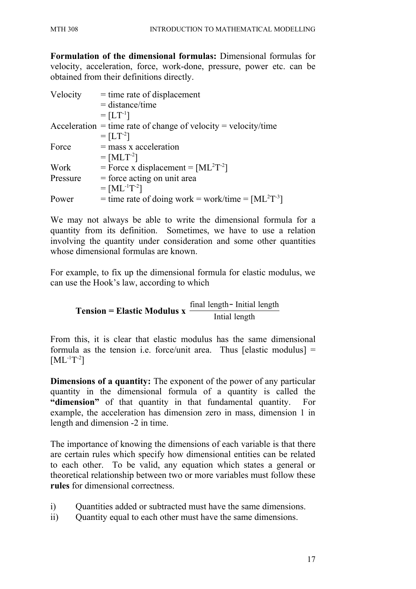**Formulation of the dimensional formulas:** Dimensional formulas for velocity, acceleration, force, work-done, pressure, power etc. can be obtained from their definitions directly.

| Velocity | $=$ time rate of displacement                                           |
|----------|-------------------------------------------------------------------------|
|          | $=$ distance/time                                                       |
|          | $= [LT^{-1}]$                                                           |
|          | $\text{Acceleration}$ = time rate of change of velocity = velocity/time |
|          | $= [LT^{-2}]$                                                           |
| Force    | $=$ mass x acceleration                                                 |
|          | $= [MLT^{-2}]$                                                          |
| Work     | = Force x displacement = $[ML^2T^{-2}]$                                 |
| Pressure | $=$ force acting on unit area                                           |
|          | $= [ML^{-1}T^{-2}]$                                                     |
| Power    | = time rate of doing work = work/time = $[ML^2T^{-3}]$                  |

We may not always be able to write the dimensional formula for a quantity from its definition. Sometimes, we have to use a relation involving the quantity under consideration and some other quantities whose dimensional formulas are known.

For example, to fix up the dimensional formula for elastic modulus, we can use the Hook's law, according to which

**Tension = Elastic Modulus x**  $\frac{1}{\text{Initial length}}$ final length<sup>−</sup> Initial length

From this, it is clear that elastic modulus has the same dimensional formula as the tension i.e. force/unit area. Thus [elastic modulus]  $=$  $[ML^{-1}T^{-2}]$ 

**Dimensions of a quantity:** The exponent of the power of any particular quantity in the dimensional formula of a quantity is called the **"dimension"** of that quantity in that fundamental quantity. For example, the acceleration has dimension zero in mass, dimension 1 in length and dimension -2 in time.

The importance of knowing the dimensions of each variable is that there are certain rules which specify how dimensional entities can be related to each other. To be valid, any equation which states a general or theoretical relationship between two or more variables must follow these **rules** for dimensional correctness.

- i) Quantities added or subtracted must have the same dimensions.
- ii) Quantity equal to each other must have the same dimensions.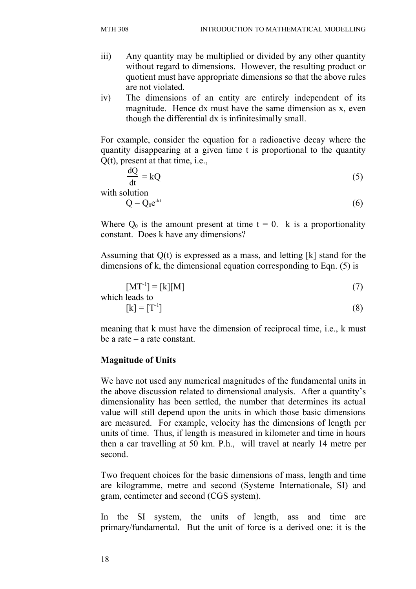- iii) Any quantity may be multiplied or divided by any other quantity without regard to dimensions. However, the resulting product or quotient must have appropriate dimensions so that the above rules are not violated.
- iv) The dimensions of an entity are entirely independent of its magnitude. Hence dx must have the same dimension as x, even though the differential dx is infinitesimally small.

For example, consider the equation for a radioactive decay where the quantity disappearing at a given time t is proportional to the quantity Q(t), present at that time, i.e.,

$$
\frac{dQ}{dt} = kQ \tag{5}
$$

with solution

$$
Q = Q_0 e^{-kt} \tag{6}
$$

Where  $Q_0$  is the amount present at time  $t = 0$ . k is a proportionality constant. Does k have any dimensions?

Assuming that Q(t) is expressed as a mass, and letting [k] stand for the dimensions of k, the dimensional equation corresponding to Eqn. (5) is

$$
[MT^{-1}] = [k][M]
$$
  
which leads to

$$
[k] = [T-1] \tag{8}
$$

meaning that k must have the dimension of reciprocal time, i.e., k must be a rate – a rate constant.

#### **Magnitude of Units**

We have not used any numerical magnitudes of the fundamental units in the above discussion related to dimensional analysis. After a quantity's dimensionality has been settled, the number that determines its actual value will still depend upon the units in which those basic dimensions are measured. For example, velocity has the dimensions of length per units of time. Thus, if length is measured in kilometer and time in hours then a car travelling at 50 km. P.h., will travel at nearly 14 metre per second.

Two frequent choices for the basic dimensions of mass, length and time are kilogramme, metre and second (Systeme Internationale, SI) and gram, centimeter and second (CGS system).

In the SI system, the units of length, ass and time are primary/fundamental. But the unit of force is a derived one: it is the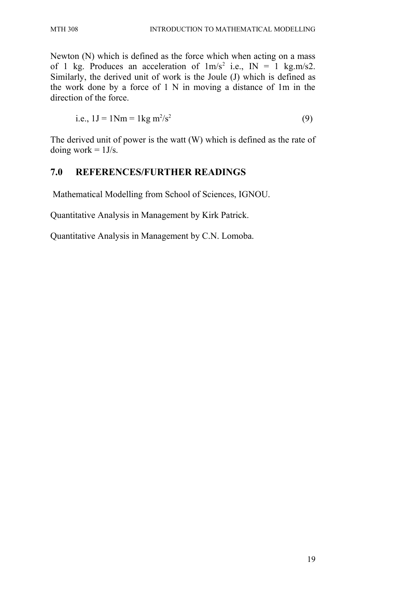Newton (N) which is defined as the force which when acting on a mass of 1 kg. Produces an acceleration of  $1 \text{ m/s}^2$  i.e.,  $\text{IN} = 1$  kg.m/s2. Similarly, the derived unit of work is the Joule (J) which is defined as the work done by a force of 1 N in moving a distance of 1m in the direction of the force.

i.e., 
$$
1J = 1Nm = 1kg \frac{m^2}{s^2}
$$
 (9)

The derived unit of power is the watt (W) which is defined as the rate of doing work  $= 1$  J/s.

#### **7.0 REFERENCES/FURTHER READINGS**

Mathematical Modelling from School of Sciences, IGNOU.

Quantitative Analysis in Management by Kirk Patrick.

Quantitative Analysis in Management by C.N. Lomoba.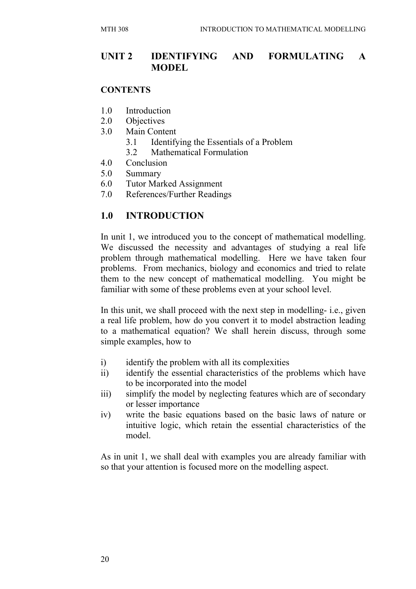#### **UNIT 2 IDENTIFYING AND FORMULATING A MODEL**

#### **CONTENTS**

- 1.0 Introduction
- 2.0 Objectives
- 3.0 Main Content
	- 3.1 Identifying the Essentials of a Problem
	- 3.2 Mathematical Formulation
- 4.0 Conclusion
- 5.0 Summary
- 6.0 Tutor Marked Assignment
- 7.0 References/Further Readings

#### **1.0 INTRODUCTION**

In unit 1, we introduced you to the concept of mathematical modelling. We discussed the necessity and advantages of studying a real life problem through mathematical modelling. Here we have taken four problems. From mechanics, biology and economics and tried to relate them to the new concept of mathematical modelling. You might be familiar with some of these problems even at your school level.

In this unit, we shall proceed with the next step in modelling- i.e., given a real life problem, how do you convert it to model abstraction leading to a mathematical equation? We shall herein discuss, through some simple examples, how to

- i) identify the problem with all its complexities
- ii) identify the essential characteristics of the problems which have to be incorporated into the model
- iii) simplify the model by neglecting features which are of secondary or lesser importance
- iv) write the basic equations based on the basic laws of nature or intuitive logic, which retain the essential characteristics of the model.

As in unit 1, we shall deal with examples you are already familiar with so that your attention is focused more on the modelling aspect.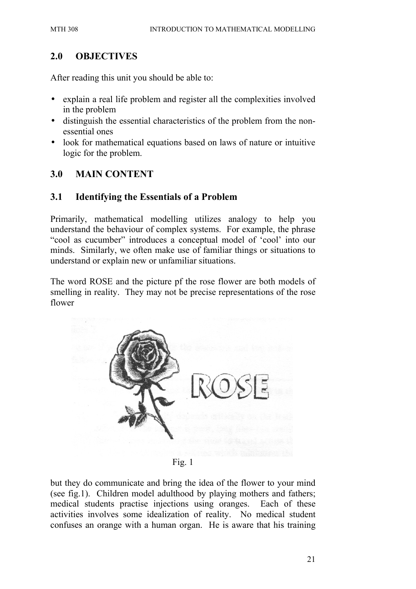#### **2.0 OBJECTIVES**

After reading this unit you should be able to:

- explain a real life problem and register all the complexities involved in the problem
- distinguish the essential characteristics of the problem from the nonessential ones
- look for mathematical equations based on laws of nature or intuitive logic for the problem.

#### **3.0 MAIN CONTENT**

#### **3.1 Identifying the Essentials of a Problem**

Primarily, mathematical modelling utilizes analogy to help you understand the behaviour of complex systems. For example, the phrase "cool as cucumber" introduces a conceptual model of 'cool' into our minds. Similarly, we often make use of familiar things or situations to understand or explain new or unfamiliar situations.

The word ROSE and the picture pf the rose flower are both models of smelling in reality. They may not be precise representations of the rose flower



Fig. 1

but they do communicate and bring the idea of the flower to your mind (see fig.1). Children model adulthood by playing mothers and fathers; medical students practise injections using oranges. Each of these activities involves some idealization of reality. No medical student confuses an orange with a human organ. He is aware that his training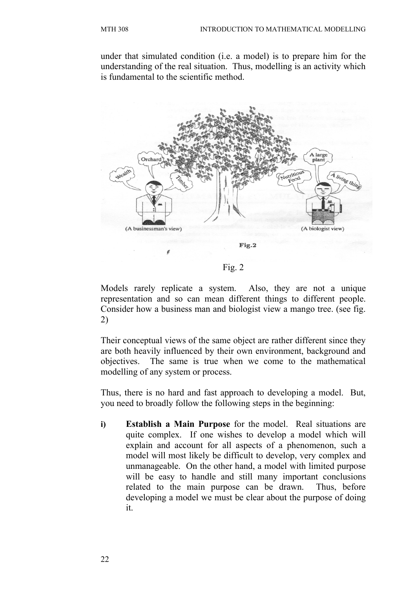under that simulated condition (i.e. a model) is to prepare him for the understanding of the real situation. Thus, modelling is an activity which is fundamental to the scientific method.



Models rarely replicate a system. Also, they are not a unique representation and so can mean different things to different people. Consider how a business man and biologist view a mango tree. (see fig. 2)

Their conceptual views of the same object are rather different since they are both heavily influenced by their own environment, background and objectives. The same is true when we come to the mathematical modelling of any system or process.

Thus, there is no hard and fast approach to developing a model. But, you need to broadly follow the following steps in the beginning:

**i) Establish a Main Purpose** for the model. Real situations are quite complex. If one wishes to develop a model which will explain and account for all aspects of a phenomenon, such a model will most likely be difficult to develop, very complex and unmanageable. On the other hand, a model with limited purpose will be easy to handle and still many important conclusions related to the main purpose can be drawn. Thus, before developing a model we must be clear about the purpose of doing it.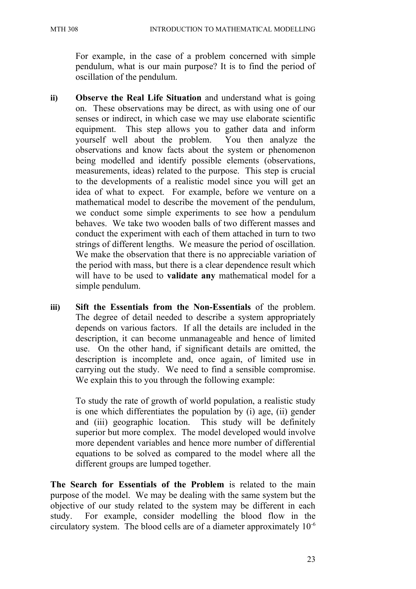For example, in the case of a problem concerned with simple pendulum, what is our main purpose? It is to find the period of oscillation of the pendulum.

- **ii) Observe the Real Life Situation** and understand what is going on. These observations may be direct, as with using one of our senses or indirect, in which case we may use elaborate scientific equipment. This step allows you to gather data and inform yourself well about the problem. You then analyze the observations and know facts about the system or phenomenon being modelled and identify possible elements (observations, measurements, ideas) related to the purpose. This step is crucial to the developments of a realistic model since you will get an idea of what to expect. For example, before we venture on a mathematical model to describe the movement of the pendulum, we conduct some simple experiments to see how a pendulum behaves. We take two wooden balls of two different masses and conduct the experiment with each of them attached in turn to two strings of different lengths. We measure the period of oscillation. We make the observation that there is no appreciable variation of the period with mass, but there is a clear dependence result which will have to be used to **validate any** mathematical model for a simple pendulum.
- **iii) Sift the Essentials from the Non-Essentials** of the problem. The degree of detail needed to describe a system appropriately depends on various factors. If all the details are included in the description, it can become unmanageable and hence of limited use. On the other hand, if significant details are omitted, the description is incomplete and, once again, of limited use in carrying out the study. We need to find a sensible compromise. We explain this to you through the following example:

To study the rate of growth of world population, a realistic study is one which differentiates the population by (i) age, (ii) gender and (iii) geographic location. This study will be definitely superior but more complex. The model developed would involve more dependent variables and hence more number of differential equations to be solved as compared to the model where all the different groups are lumped together.

**The Search for Essentials of the Problem** is related to the main purpose of the model. We may be dealing with the same system but the objective of our study related to the system may be different in each study. For example, consider modelling the blood flow in the circulatory system. The blood cells are of a diameter approximately 10-6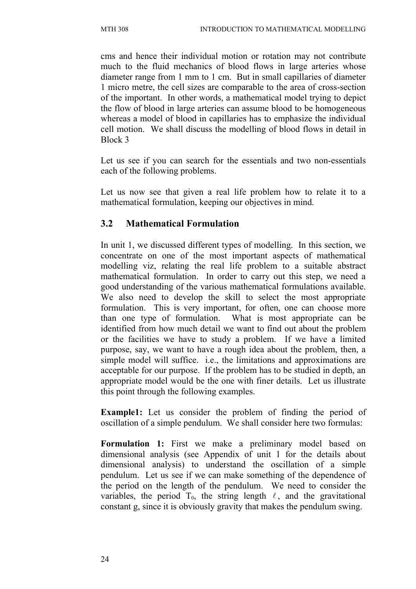cms and hence their individual motion or rotation may not contribute much to the fluid mechanics of blood flows in large arteries whose diameter range from 1 mm to 1 cm. But in small capillaries of diameter 1 micro metre, the cell sizes are comparable to the area of cross-section of the important. In other words, a mathematical model trying to depict the flow of blood in large arteries can assume blood to be homogeneous whereas a model of blood in capillaries has to emphasize the individual cell motion. We shall discuss the modelling of blood flows in detail in Block 3

Let us see if you can search for the essentials and two non-essentials each of the following problems.

Let us now see that given a real life problem how to relate it to a mathematical formulation, keeping our objectives in mind.

#### **3.2 Mathematical Formulation**

In unit 1, we discussed different types of modelling. In this section, we concentrate on one of the most important aspects of mathematical modelling viz, relating the real life problem to a suitable abstract mathematical formulation. In order to carry out this step, we need a good understanding of the various mathematical formulations available. We also need to develop the skill to select the most appropriate formulation. This is very important, for often, one can choose more than one type of formulation. What is most appropriate can be identified from how much detail we want to find out about the problem or the facilities we have to study a problem. If we have a limited purpose, say, we want to have a rough idea about the problem, then, a simple model will suffice. i.e., the limitations and approximations are acceptable for our purpose. If the problem has to be studied in depth, an appropriate model would be the one with finer details. Let us illustrate this point through the following examples.

**Example1:** Let us consider the problem of finding the period of oscillation of a simple pendulum. We shall consider here two formulas:

**Formulation 1:** First we make a preliminary model based on dimensional analysis (see Appendix of unit 1 for the details about dimensional analysis) to understand the oscillation of a simple pendulum. Let us see if we can make something of the dependence of the period on the length of the pendulum. We need to consider the variables, the period  $T_0$ , the string length  $\ell$ , and the gravitational constant g, since it is obviously gravity that makes the pendulum swing.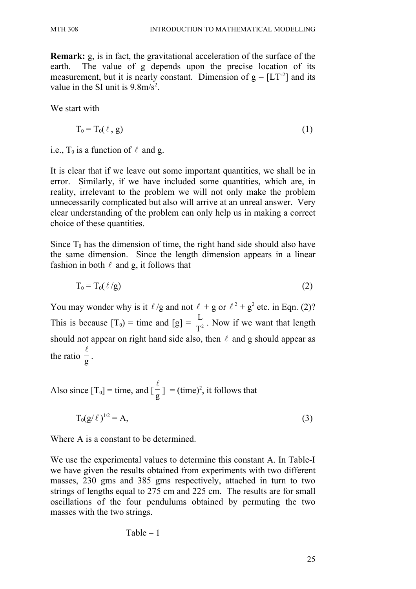**Remark:** g, is in fact, the gravitational acceleration of the surface of the earth. The value of g depends upon the precise location of its measurement, but it is nearly constant. Dimension of  $g = [LT^{-2}]$  and its value in the SI unit is  $9.8 \text{m/s}^2$ .

We start with

$$
T_0 = T_0(\ell, g) \tag{1}
$$

i.e.,  $T_0$  is a function of  $\ell$  and g.

It is clear that if we leave out some important quantities, we shall be in error. Similarly, if we have included some quantities, which are, in reality, irrelevant to the problem we will not only make the problem unnecessarily complicated but also will arrive at an unreal answer. Very clear understanding of the problem can only help us in making a correct choice of these quantities.

Since  $T_0$  has the dimension of time, the right hand side should also have the same dimension. Since the length dimension appears in a linear fashion in both  $\ell$  and g, it follows that

$$
T_0 = T_0(\ell/g)
$$
 (2)

You may wonder why is it  $\ell$ /g and not  $\ell + g$  or  $\ell^2 + g^2$  etc. in Eqn. (2)? This is because  $[T_0]$  = time and  $[g] = \frac{E}{T^2}$ L . Now if we want that length should not appear on right hand side also, then  $\ell$  and g should appear as the ratio  $\frac{1}{g}$  $\ell$ .

Also since  $[T_0]$  = time, and  $\left[\frac{1}{g}\right]$  $\ell$  $] = (time)^2$ , it follows that

$$
T_0(g/\ell)^{1/2} = A,\t\t(3)
$$

Where A is a constant to be determined.

We use the experimental values to determine this constant A. In Table-I we have given the results obtained from experiments with two different masses, 230 gms and 385 gms respectively, attached in turn to two strings of lengths equal to 275 cm and 225 cm. The results are for small oscillations of the four pendulums obtained by permuting the two masses with the two strings.

$$
Table-1\\
$$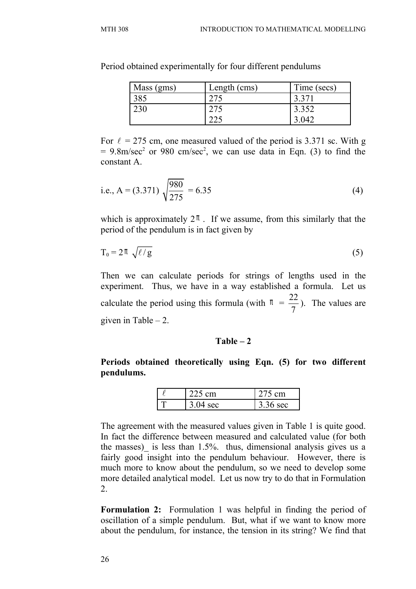| Mass (gms) | Length (cms) | Time (secs) |
|------------|--------------|-------------|
| 385        |              | 3.371       |
| 230        | 275          | 3.352       |
|            |              | 3.042       |

Period obtained experimentally for four different pendulums

For  $\ell = 275$  cm, one measured valued of the period is 3.371 sc. With g  $= 9.8$ m/sec<sup>2</sup> or 980 cm/sec<sup>2</sup>, we can use data in Eqn. (3) to find the constant A.

i.e., 
$$
A = (3.371) \sqrt{\frac{980}{275}} = 6.35
$$
 (4)

which is approximately  $2^{\pi}$ . If we assume, from this similarly that the period of the pendulum is in fact given by

$$
T_0 = 2\pi \sqrt{\ell/g} \tag{5}
$$

Then we can calculate periods for strings of lengths used in the experiment. Thus, we have in a way established a formula. Let us calculate the period using this formula (with  $\pi$  = 22 7 ). The values are given in Table  $-2$ .

#### **Table – 2**

#### **Periods obtained theoretically using Eqn. (5) for two different pendulums.**

| $1.225$ cm | 275 cm   |
|------------|----------|
| ◠<br>sec   | 3.36 sec |

The agreement with the measured values given in Table 1 is quite good. In fact the difference between measured and calculated value (for both the masses) is less than 1.5%. thus, dimensional analysis gives us a fairly good insight into the pendulum behaviour. However, there is much more to know about the pendulum, so we need to develop some more detailed analytical model. Let us now try to do that in Formulation 2.

**Formulation 2:** Formulation 1 was helpful in finding the period of oscillation of a simple pendulum. But, what if we want to know more about the pendulum, for instance, the tension in its string? We find that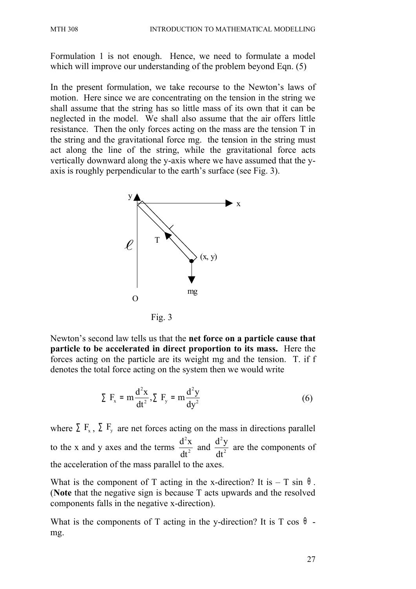Formulation 1 is not enough. Hence, we need to formulate a model which will improve our understanding of the problem beyond Eqn. (5)

In the present formulation, we take recourse to the Newton's laws of motion. Here since we are concentrating on the tension in the string we shall assume that the string has so little mass of its own that it can be neglected in the model. We shall also assume that the air offers little resistance. Then the only forces acting on the mass are the tension T in the string and the gravitational force mg. the tension in the string must act along the line of the string, while the gravitational force acts vertically downward along the y-axis where we have assumed that the yaxis is roughly perpendicular to the earth's surface (see Fig. 3).



Newton's second law tells us that the **net force on a particle cause that particle to be accelerated in direct proportion to its mass.** Here the forces acting on the particle are its weight mg and the tension. T. if f denotes the total force acting on the system then we would write

$$
\sum F_x = m \frac{d^2 x}{dt^2}, \sum F_y = m \frac{d^2 y}{dy^2}
$$
 (6)

where  $\Sigma$  F<sub>x</sub>,  $\Sigma$  F<sub>y</sub> are net forces acting on the mass in directions parallel to the x and y axes and the terms 2 2  $d^2x$ dt and 2 2  $d^2y$ dt are the components of the acceleration of the mass parallel to the axes.

What is the component of T acting in the x-direction? It is  $-$  T sin  $\theta$ . (**Note** that the negative sign is because T acts upwards and the resolved components falls in the negative x-direction).

What is the components of T acting in the y-direction? It is T cos  $\theta$  mg.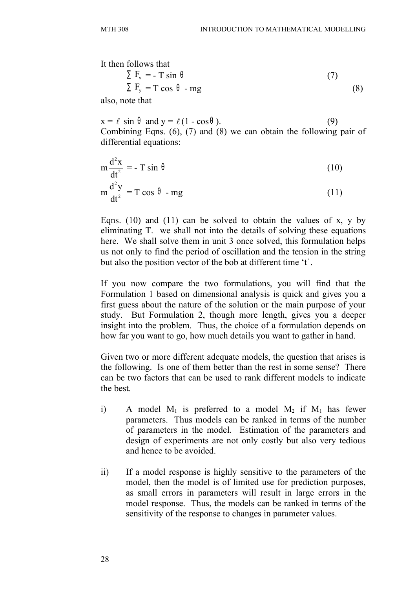It then follows that  
\n
$$
\sum F_x = -T \sin \theta
$$
\n
$$
\sum F_y = T \cos \theta - mg
$$
\n(7)

also, note that

 $x = \ell \sin \theta$  and  $y = \ell (1 - \cos \theta)$ . (9) Combining Eqns. (6), (7) and (8) we can obtain the following pair of differential equations:

$$
m\frac{d^2x}{dt^2} = -T\sin\theta\tag{10}
$$

$$
m\frac{d^2y}{dt^2} = T\cos\theta - mg\tag{11}
$$

Eqns. (10) and (11) can be solved to obtain the values of x, y by eliminating T. we shall not into the details of solving these equations here. We shall solve them in unit 3 once solved, this formulation helps us not only to find the period of oscillation and the tension in the string but also the position vector of the bob at different time 't ' .

If you now compare the two formulations, you will find that the Formulation 1 based on dimensional analysis is quick and gives you a first guess about the nature of the solution or the main purpose of your study. But Formulation 2, though more length, gives you a deeper insight into the problem. Thus, the choice of a formulation depends on how far you want to go, how much details you want to gather in hand.

Given two or more different adequate models, the question that arises is the following. Is one of them better than the rest in some sense? There can be two factors that can be used to rank different models to indicate the best.

- i) A model  $M_1$  is preferred to a model  $M_2$  if  $M_1$  has fewer parameters. Thus models can be ranked in terms of the number of parameters in the model. Estimation of the parameters and design of experiments are not only costly but also very tedious and hence to be avoided.
- ii) If a model response is highly sensitive to the parameters of the model, then the model is of limited use for prediction purposes, as small errors in parameters will result in large errors in the model response. Thus, the models can be ranked in terms of the sensitivity of the response to changes in parameter values.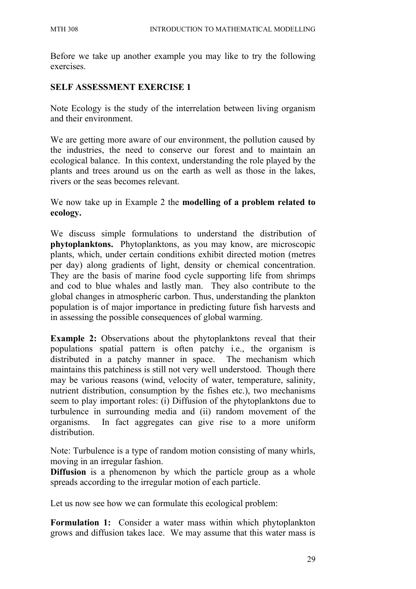Before we take up another example you may like to try the following exercises.

# **SELF ASSESSMENT EXERCISE 1**

Note Ecology is the study of the interrelation between living organism and their environment.

We are getting more aware of our environment, the pollution caused by the industries, the need to conserve our forest and to maintain an ecological balance. In this context, understanding the role played by the plants and trees around us on the earth as well as those in the lakes, rivers or the seas becomes relevant.

We now take up in Example 2 the **modelling of a problem related to ecology.**

We discuss simple formulations to understand the distribution of **phytoplanktons.** Phytoplanktons, as you may know, are microscopic plants, which, under certain conditions exhibit directed motion (metres per day) along gradients of light, density or chemical concentration. They are the basis of marine food cycle supporting life from shrimps and cod to blue whales and lastly man. They also contribute to the global changes in atmospheric carbon. Thus, understanding the plankton population is of major importance in predicting future fish harvests and in assessing the possible consequences of global warming.

**Example 2:** Observations about the phytoplanktons reveal that their populations spatial pattern is often patchy i.e., the organism is distributed in a patchy manner in space. The mechanism which maintains this patchiness is still not very well understood. Though there may be various reasons (wind, velocity of water, temperature, salinity, nutrient distribution, consumption by the fishes etc.), two mechanisms seem to play important roles: (i) Diffusion of the phytoplanktons due to turbulence in surrounding media and (ii) random movement of the organisms. In fact aggregates can give rise to a more uniform distribution.

Note: Turbulence is a type of random motion consisting of many whirls, moving in an irregular fashion.

**Diffusion** is a phenomenon by which the particle group as a whole spreads according to the irregular motion of each particle.

Let us now see how we can formulate this ecological problem:

**Formulation 1:** Consider a water mass within which phytoplankton grows and diffusion takes lace. We may assume that this water mass is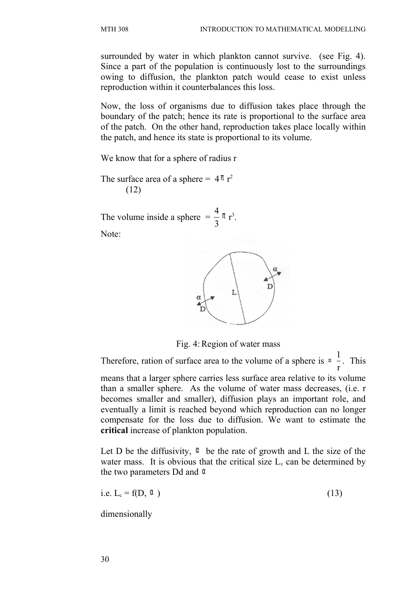surrounded by water in which plankton cannot survive. (see Fig. 4). Since a part of the population is continuously lost to the surroundings owing to diffusion, the plankton patch would cease to exist unless reproduction within it counterbalances this loss.

Now, the loss of organisms due to diffusion takes place through the boundary of the patch; hence its rate is proportional to the surface area of the patch. On the other hand, reproduction takes place locally within the patch, and hence its state is proportional to its volume.

We know that for a sphere of radius r

The surface area of a sphere =  $4 \pi r^2$ (12)

The volume inside a sphere  $=$   $\frac{4}{3}$ 3  $\pi$   $r^3$ . Note:



Fig. 4: Region of water mass

Therefore, ration of surface area to the volume of a sphere is  $\infty$   $\frac{1}{1}$ r <sup>∝</sup> . This means that a larger sphere carries less surface area relative to its volume than a smaller sphere. As the volume of water mass decreases, (i.e. r becomes smaller and smaller), diffusion plays an important role, and eventually a limit is reached beyond which reproduction can no longer compensate for the loss due to diffusion. We want to estimate the **critical** increase of plankton population.

Let D be the diffusivity,  $\alpha$  be the rate of growth and L the size of the water mass. It is obvious that the critical size  $L<sub>c</sub>$  can be determined by the two parameters Dd and  $\alpha$ 

i.e.  $L_c = f(D, \alpha)$  (13)

dimensionally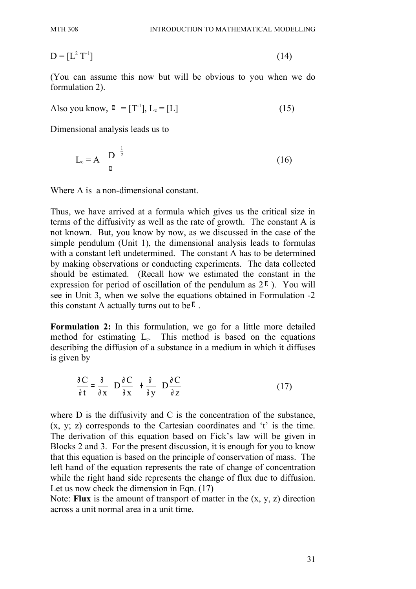$D = [L^2 T^{-1}]$  $T^{-1}$ ] (14)

(You can assume this now but will be obvious to you when we do formulation 2).

Also you know,  $\alpha = [T^{-1}]$ ,  $L_c = [L]$  (15)

Dimensional analysis leads us to

$$
L_c = A \left(\frac{D}{\alpha}\right)^{\frac{1}{2}}
$$
 (16)

Where A is a non-dimensional constant.

Thus, we have arrived at a formula which gives us the critical size in terms of the diffusivity as well as the rate of growth. The constant A is not known. But, you know by now, as we discussed in the case of the simple pendulum (Unit 1), the dimensional analysis leads to formulas with a constant left undetermined. The constant A has to be determined by making observations or conducting experiments. The data collected should be estimated. (Recall how we estimated the constant in the expression for period of oscillation of the pendulum as  $2 \pi$ ). You will see in Unit 3, when we solve the equations obtained in Formulation -2 this constant A actually turns out to be  $\pi$ .

**Formulation 2:** In this formulation, we go for a little more detailed method for estimating  $L<sub>c</sub>$ . This method is based on the equations describing the diffusion of a substance in a medium in which it diffuses is given by

$$
\frac{\partial \mathbf{C}}{\partial t} = \frac{\partial}{\partial x} \left( \mathbf{D} \frac{\partial \mathbf{C}}{\partial x} \right) + \frac{\partial}{\partial y} \left( \mathbf{D} \frac{\partial \mathbf{C}}{\partial z} \right)
$$
(17)

where D is the diffusivity and C is the concentration of the substance, (x, y; z) corresponds to the Cartesian coordinates and 't' is the time. The derivation of this equation based on Fick's law will be given in Blocks 2 and 3. For the present discussion, it is enough for you to know that this equation is based on the principle of conservation of mass. The left hand of the equation represents the rate of change of concentration while the right hand side represents the change of flux due to diffusion. Let us now check the dimension in Eqn. (17)

Note: **Flux** is the amount of transport of matter in the (x, y, z) direction across a unit normal area in a unit time.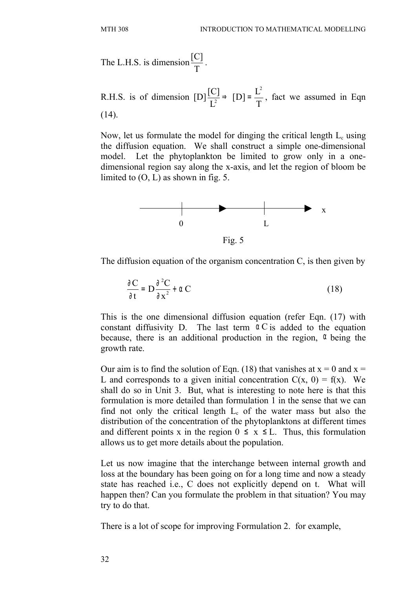The L.H.S. is dimension  $\frac{[C]}{T}$ T .

R.H.S. is of dimension [D] 2  $\frac{[C]}{I^2} \Rightarrow [D] = \frac{L^2}{T}$  $L^2$   $L^2$   $T$  $\Rightarrow$  [D]=  $\frac{L}{T}$ , fact we assumed in Eqn (14).

Now, let us formulate the model for dinging the critical length  $L_c$  using the diffusion equation. We shall construct a simple one-dimensional model. Let the phytoplankton be limited to grow only in a onedimensional region say along the x-axis, and let the region of bloom be limited to  $(O, L)$  as shown in fig. 5.



The diffusion equation of the organism concentration C, is then given by

$$
\frac{\partial C}{\partial t} = D \frac{\partial^2 C}{\partial x^2} + \alpha C \tag{18}
$$

This is the one dimensional diffusion equation (refer Eqn. (17) with constant diffusivity D. The last term  $\alpha C$  is added to the equation because, there is an additional production in the region,  $\alpha$  being the growth rate.

Our aim is to find the solution of Eqn. (18) that vanishes at  $x = 0$  and  $x = 0$ L and corresponds to a given initial concentration  $C(x, 0) = f(x)$ . We shall do so in Unit 3. But, what is interesting to note here is that this formulation is more detailed than formulation 1 in the sense that we can find not only the critical length  $L_c$  of the water mass but also the distribution of the concentration of the phytoplanktons at different times and different points x in the region  $0 \le x \le L$ . Thus, this formulation allows us to get more details about the population.

Let us now imagine that the interchange between internal growth and loss at the boundary has been going on for a long time and now a steady state has reached i.e., C does not explicitly depend on t. What will happen then? Can you formulate the problem in that situation? You may try to do that.

There is a lot of scope for improving Formulation 2. for example,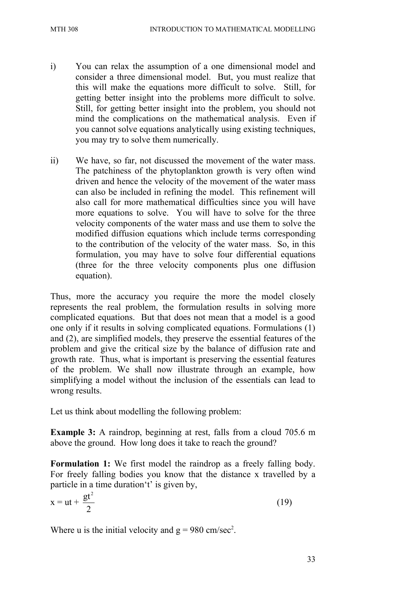- i) You can relax the assumption of a one dimensional model and consider a three dimensional model. But, you must realize that this will make the equations more difficult to solve. Still, for getting better insight into the problems more difficult to solve. Still, for getting better insight into the problem, you should not mind the complications on the mathematical analysis. Even if you cannot solve equations analytically using existing techniques, you may try to solve them numerically.
- ii) We have, so far, not discussed the movement of the water mass. The patchiness of the phytoplankton growth is very often wind driven and hence the velocity of the movement of the water mass can also be included in refining the model. This refinement will also call for more mathematical difficulties since you will have more equations to solve. You will have to solve for the three velocity components of the water mass and use them to solve the modified diffusion equations which include terms corresponding to the contribution of the velocity of the water mass. So, in this formulation, you may have to solve four differential equations (three for the three velocity components plus one diffusion equation).

Thus, more the accuracy you require the more the model closely represents the real problem, the formulation results in solving more complicated equations. But that does not mean that a model is a good one only if it results in solving complicated equations. Formulations (1) and (2), are simplified models, they preserve the essential features of the problem and give the critical size by the balance of diffusion rate and growth rate. Thus, what is important is preserving the essential features of the problem. We shall now illustrate through an example, how simplifying a model without the inclusion of the essentials can lead to wrong results.

Let us think about modelling the following problem:

**Example 3:** A raindrop, beginning at rest, falls from a cloud 705.6 m above the ground. How long does it take to reach the ground?

**Formulation 1:** We first model the raindrop as a freely falling body. For freely falling bodies you know that the distance x travelled by a particle in a time duration't' is given by,

$$
x = ut + \frac{gt^2}{2} \tag{19}
$$

Where u is the initial velocity and  $g = 980$  cm/sec<sup>2</sup>.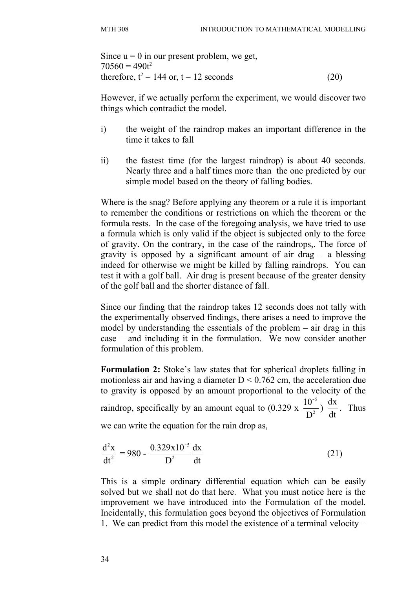Since  $u = 0$  in our present problem, we get,  $70560 = 490t^2$ therefore,  $t^2 = 144$  or,  $t = 12$  seconds (20)

However, if we actually perform the experiment, we would discover two things which contradict the model.

- i) the weight of the raindrop makes an important difference in the time it takes to fall
- ii) the fastest time (for the largest raindrop) is about 40 seconds. Nearly three and a half times more than the one predicted by our simple model based on the theory of falling bodies.

Where is the snag? Before applying any theorem or a rule it is important to remember the conditions or restrictions on which the theorem or the formula rests. In the case of the foregoing analysis, we have tried to use a formula which is only valid if the object is subjected only to the force of gravity. On the contrary, in the case of the raindrops,. The force of gravity is opposed by a significant amount of air drag  $-$  a blessing indeed for otherwise we might be killed by falling raindrops. You can test it with a golf ball. Air drag is present because of the greater density of the golf ball and the shorter distance of fall.

Since our finding that the raindrop takes 12 seconds does not tally with the experimentally observed findings, there arises a need to improve the model by understanding the essentials of the problem – air drag in this case – and including it in the formulation. We now consider another formulation of this problem.

**Formulation 2:** Stoke's law states that for spherical droplets falling in motionless air and having a diameter  $D \le 0.762$  cm, the acceleration due to gravity is opposed by an amount proportional to the velocity of the raindrop, specifically by an amount equal to (0.329 x 5 2 10 D  $\frac{1}{2}$ )  $\frac{dx}{dt}$ dt . Thus we can write the equation for the rain drop as,

$$
\frac{d^2x}{dt^2} = 980 - \frac{0.329x10^{-5} dx}{D^2}
$$
 (21)

This is a simple ordinary differential equation which can be easily solved but we shall not do that here. What you must notice here is the improvement we have introduced into the Formulation of the model. Incidentally, this formulation goes beyond the objectives of Formulation 1. We can predict from this model the existence of a terminal velocity –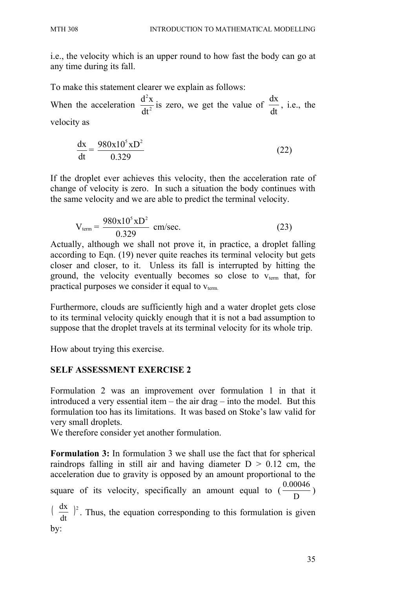i.e., the velocity which is an upper round to how fast the body can go at any time during its fall.

To make this statement clearer we explain as follows: When the acceleration  $\frac{8}{x}$ 2 2  $d^2x$ dt is zero, we get the value of  $\frac{dx}{dt}$ dt , i.e., the velocity as

$$
\frac{dx}{dt} = \frac{980x10^5xD^2}{0.329}
$$
 (22)

If the droplet ever achieves this velocity, then the acceleration rate of change of velocity is zero. In such a situation the body continues with the same velocity and we are able to predict the terminal velocity.

$$
V_{\text{term}} = \frac{980x10^5xD^2}{0.329} \text{ cm/sec.}
$$
 (23)

Actually, although we shall not prove it, in practice, a droplet falling according to Eqn. (19) never quite reaches its terminal velocity but gets closer and closer, to it. Unless its fall is interrupted by hitting the ground, the velocity eventually becomes so close to  $v_{\text{term}}$  that, for practical purposes we consider it equal to  $v_{\text{term}}$ .

Furthermore, clouds are sufficiently high and a water droplet gets close to its terminal velocity quickly enough that it is not a bad assumption to suppose that the droplet travels at its terminal velocity for its whole trip.

How about trying this exercise.

### **SELF ASSESSMENT EXERCISE 2**

Formulation 2 was an improvement over formulation 1 in that it introduced a very essential item – the air drag – into the model. But this formulation too has its limitations. It was based on Stoke's law valid for very small droplets.

We therefore consider yet another formulation.

**Formulation 3:** In formulation 3 we shall use the fact that for spherical raindrops falling in still air and having diameter  $D > 0.12$  cm, the acceleration due to gravity is opposed by an amount proportional to the square of its velocity, specifically an amount equal to ( D  $\frac{0.00046}{D}$  $\left(\begin{array}{c} \frac{dX}{dx} \end{array}\right)^2$ dt  $\frac{dx}{dt}$   $^{2}$ . Thus, the equation corresponding to this formulation is given

by: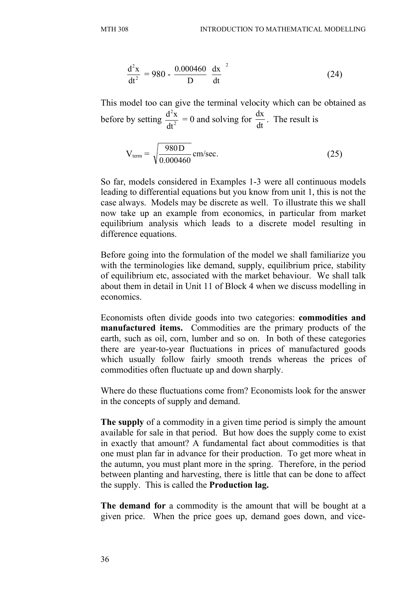$$
\frac{d^2x}{dt^2} = 980 - \frac{0.000460}{D} \left(\frac{dx}{dt}\right)^2
$$
 (24)

This model too can give the terminal velocity which can be obtained as before by setting  $\frac{d^2 A}{dt^2}$ 2 dt  $\frac{d^2x}{dt^2} = 0$  and solving for dt  $\frac{dx}{dt}$ . The result is

$$
V_{\text{term}} = \sqrt{\frac{980 \text{ D}}{0.000460}} \text{ cm/sec.}
$$
 (25)

So far, models considered in Examples 1-3 were all continuous models leading to differential equations but you know from unit 1, this is not the case always. Models may be discrete as well. To illustrate this we shall now take up an example from economics, in particular from market equilibrium analysis which leads to a discrete model resulting in difference equations.

Before going into the formulation of the model we shall familiarize you with the terminologies like demand, supply, equilibrium price, stability of equilibrium etc, associated with the market behaviour. We shall talk about them in detail in Unit 11 of Block 4 when we discuss modelling in economics.

Economists often divide goods into two categories: **commodities and manufactured items.** Commodities are the primary products of the earth, such as oil, corn, lumber and so on. In both of these categories there are year-to-year fluctuations in prices of manufactured goods which usually follow fairly smooth trends whereas the prices of commodities often fluctuate up and down sharply.

Where do these fluctuations come from? Economists look for the answer in the concepts of supply and demand.

**The supply** of a commodity in a given time period is simply the amount available for sale in that period. But how does the supply come to exist in exactly that amount? A fundamental fact about commodities is that one must plan far in advance for their production. To get more wheat in the autumn, you must plant more in the spring. Therefore, in the period between planting and harvesting, there is little that can be done to affect the supply. This is called the **Production lag.**

**The demand for** a commodity is the amount that will be bought at a given price. When the price goes up, demand goes down, and vice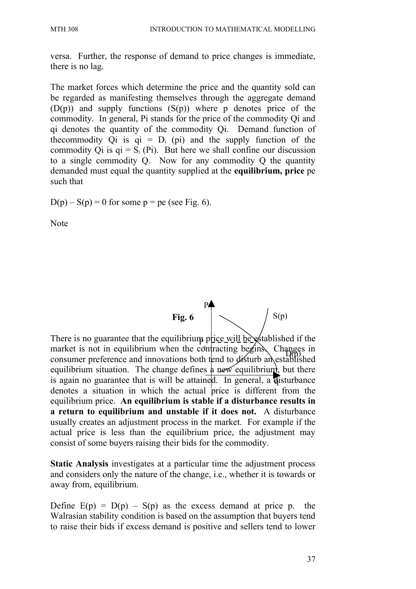versa. Further, the response of demand to price changes is immediate, there is no lag.

The market forces which determine the price and the quantity sold can be regarded as manifesting themselves through the aggregate demand  $(D(p))$  and supply functions  $(S(p))$  where p denotes price of the commodity. In general, Pi stands for the price of the commodity Qi and qi denotes the quantity of the commodity Qi. Demand function of the commodity Qi is  $qi = D_i$  (pi) and the supply function of the commodity Qi is  $qi = S<sub>i</sub>$  (Pi). But here we shall confine our discussion to a single commodity Q. Now for any commodity Q the quantity demanded must equal the quantity supplied at the **equilibrium, price** pe such that

 $D(p) - S(p) = 0$  for some  $p = pe$  (see Fig. 6).

Note



There is no guarantee that the equilibrium price will be established if the There is no guarantee that the equilibrium pluce will be said usined if the<br>market is not in equilibrium when the contracting begins. Changes in market is not in equinorium when the compacting begins. Changes in equilibrium situation. The change defines  $\phi$  new equilibrium, but there is again no guarantee that is will be attained. In general, a disturbance denotes a situation in which the actual price is different from the equilibrium price. **An equilibrium is stable if a disturbance results in a return to equilibrium and unstable if it does not.** A disturbance usually creates an adjustment process in the market. For example if the actual price is less than the equilibrium price, the adjustment may consist of some buyers raising their bids for the commodity.

**Static Analysis** investigates at a particular time the adjustment process and considers only the nature of the change, i.e., whether it is towards or away from, equilibrium.

Define  $E(p) = D(p) - S(p)$  as the excess demand at price p. the Walrasian stability condition is based on the assumption that buyers tend to raise their bids if excess demand is positive and sellers tend to lower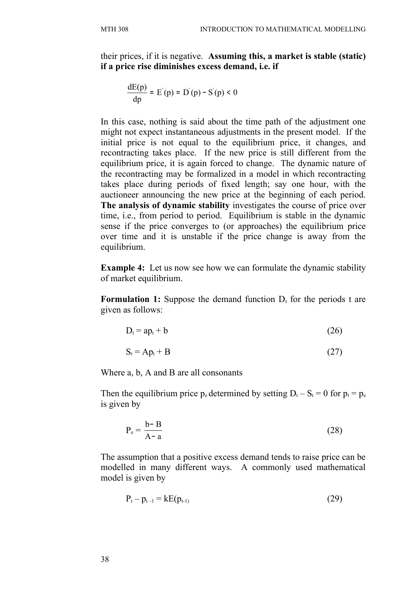their prices, if it is negative. **Assuming this, a market is stable (static) if a price rise diminishes excess demand, i.e. if**

$$
\frac{dE(p)}{dp} = E'(p) = D'(p) - S'(p) < 0
$$

In this case, nothing is said about the time path of the adjustment one might not expect instantaneous adjustments in the present model. If the initial price is not equal to the equilibrium price, it changes, and recontracting takes place. If the new price is still different from the equilibrium price, it is again forced to change. The dynamic nature of the recontracting may be formalized in a model in which recontracting takes place during periods of fixed length; say one hour, with the auctioneer announcing the new price at the beginning of each period. **The analysis of dynamic stability** investigates the course of price over time, i.e., from period to period. Equilibrium is stable in the dynamic sense if the price converges to (or approaches) the equilibrium price over time and it is unstable if the price change is away from the equilibrium.

**Example 4:** Let us now see how we can formulate the dynamic stability of market equilibrium.

**Formulation 1:** Suppose the demand function  $D_t$  for the periods t are given as follows:

$$
D_t = ap_t + b \tag{26}
$$

$$
S_t = Ap_t + B \tag{27}
$$

Where a, b, A and B are all consonants

Then the equilibrium price  $p_e$  determined by setting  $D_t - S_t = 0$  for  $p_t = p_e$ is given by

$$
P_e = \frac{b - B}{A - a} \tag{28}
$$

The assumption that a positive excess demand tends to raise price can be modelled in many different ways. A commonly used mathematical model is given by

$$
P_{t} - p_{t-1} = kE(p_{t-1})
$$
\n(29)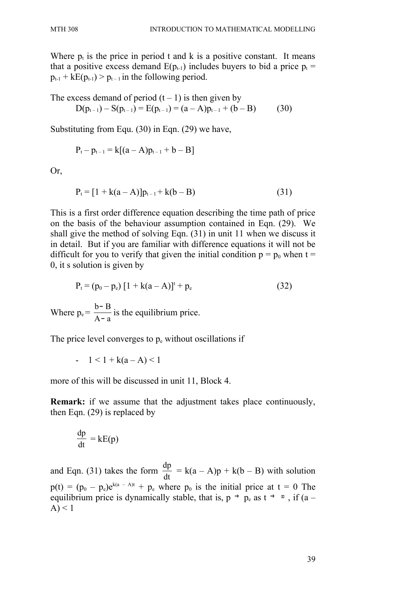Where  $p_t$  is the price in period t and k is a positive constant. It means that a positive excess demand  $E(p_{t-1})$  includes buyers to bid a price  $p_t =$  $p_{t-1}$  +  $kE(p_{t-1})$  >  $p_{t-1}$  in the following period.

The excess demand of period  $(t - 1)$  is then given by  $D(p_{t-1}) - S(p_{t-1}) = E(p_{t-1}) = (a - A)p_{t-1} + (b - B)$  (30)

Substituting from Equ. (30) in Eqn. (29) we have,

$$
P_t - p_{t-1} = k[(a-A)p_{t-1} + b - B]
$$

Or,

$$
P_{t} = [1 + k(a - A)]p_{t-1} + k(b - B)
$$
\n(31)

This is a first order difference equation describing the time path of price on the basis of the behaviour assumption contained in Eqn. (29). We shall give the method of solving Eqn. (31) in unit 11 when we discuss it in detail. But if you are familiar with difference equations it will not be difficult for you to verify that given the initial condition  $p = p_0$  when t = 0, it s solution is given by

$$
P_{t} = (p_{0} - p_{e}) [1 + k(a - A)]^{t} + p_{e}
$$
 (32)

Where  $p_e = \frac{6.6}{A_0}$  $b - B$ −  $\frac{-16}{2}$  is the equilibrium price.

The price level converges to  $p_e$  without oscillations if

- 
$$
1 < 1 + k(a-A) < 1
$$

more of this will be discussed in unit 11, Block 4.

**Remark:** if we assume that the adjustment takes place continuously, then Eqn. (29) is replaced by

$$
\frac{\mathrm{dp}}{\mathrm{dt}} = \mathrm{kE}(p)
$$

and Eqn. (31) takes the form dt  $\frac{dp}{dt} = k(a - A)p + k(b - B)$  with solution  $p(t) = (p_0 - p_e)e^{k(a - A)t} + p_e$  where  $p_0$  is the initial price at  $t = 0$  The equilibrium price is dynamically stable, that is,  $p \rightarrow p_e$  as  $t \rightarrow \infty$ , if  $(a (A) < 1$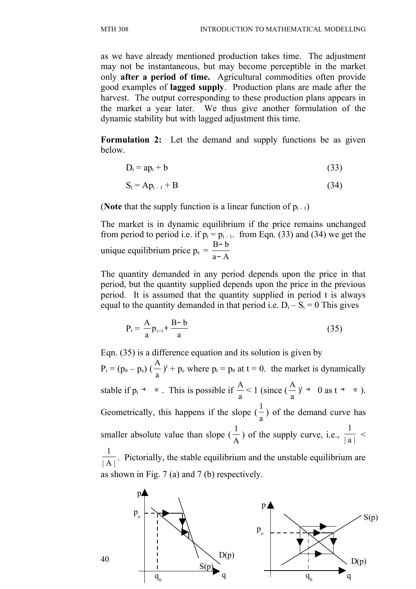as we have already mentioned production takes time. The adjustment may not be instantaneous, but may become perceptible in the market only **after a period of time.** Agricultural commodities often provide good examples of **lagged supply**. Production plans are made after the harvest. The output corresponding to these production plans appears in the market a year later. We thus give another formulation of the dynamic stability but with lagged adjustment this time.

**Formulation 2:** Let the demand and supply functions be as given below.

$$
D_t = ap_t + b \tag{33}
$$

$$
S_t = Ap_{t-1} + B \tag{34}
$$

(**Note** that the supply function is a linear function of  $p_{t-1}$ )

The market is in dynamic equilibrium if the price remains unchanged from period to period i.e. if  $p_t = p_{t-1}$ . from Eqn. (33) and (34) we get the unique equilibrium price  $p_e = \frac{B}{a - A}$  $B - b$ − −

The quantity demanded in any period depends upon the price in that period, but the quantity supplied depends upon the price in the previous period. It is assumed that the quantity supplied in period t is always equal to the quantity demanded in that period i.e.  $D_t - S_t = 0$  This gives

$$
P_{t} = \frac{A}{a} p_{t-1} + \frac{B - b}{a}
$$
 (35)

Eqn. (35) is a difference equation and its solution is given by  $P_t = (p_0 - p_e) (\frac{P_t}{a})$ A  $f^{\text{t}} + p_{\text{e}}$  where  $p_{\text{t}} = p_0$  at  $t = 0$ . the market is dynamically stable if  $p_t \rightarrow \infty$ . This is possible if  $\frac{1}{a}$ A  $\leq 1$  (since ( a A  $)$ <sup>t</sup>  $\rightarrow$  0 as t  $\rightarrow$   $\infty$  ). Geometrically, this happens if the slope ( a 1 ) of the demand curve has smaller absolute value than slope ( A 1 ) of the supply curve, i.e.,  $\frac{1}{|a|}$ 1  $\lt$  $|A|$ 1 . Pictorially, the stable equilibrium and the unstable equilibrium are as shown in Fig. 7 (a) and 7 (b) respectively.

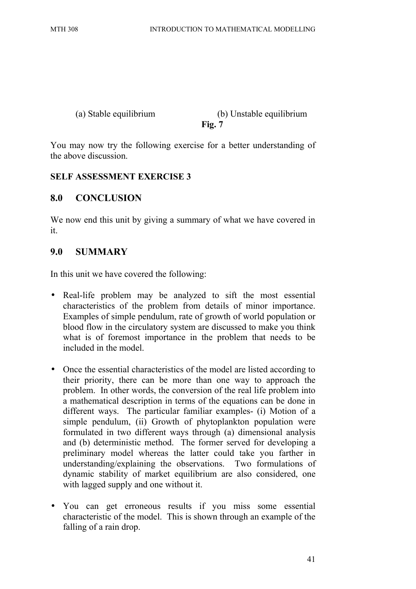#### (a) Stable equilibrium (b) Unstable equilibrium **Fig. 7**

You may now try the following exercise for a better understanding of the above discussion.

### **SELF ASSESSMENT EXERCISE 3**

# **8.0 CONCLUSION**

We now end this unit by giving a summary of what we have covered in it.

### **9.0 SUMMARY**

In this unit we have covered the following:

- Real-life problem may be analyzed to sift the most essential characteristics of the problem from details of minor importance. Examples of simple pendulum, rate of growth of world population or blood flow in the circulatory system are discussed to make you think what is of foremost importance in the problem that needs to be included in the model.
- Once the essential characteristics of the model are listed according to their priority, there can be more than one way to approach the problem. In other words, the conversion of the real life problem into a mathematical description in terms of the equations can be done in different ways. The particular familiar examples- (i) Motion of a simple pendulum, (ii) Growth of phytoplankton population were formulated in two different ways through (a) dimensional analysis and (b) deterministic method. The former served for developing a preliminary model whereas the latter could take you farther in understanding/explaining the observations. Two formulations of dynamic stability of market equilibrium are also considered, one with lagged supply and one without it.
- You can get erroneous results if you miss some essential characteristic of the model. This is shown through an example of the falling of a rain drop.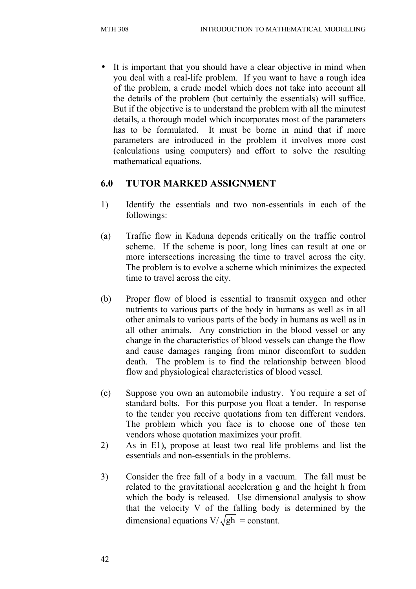It is important that you should have a clear objective in mind when you deal with a real-life problem. If you want to have a rough idea of the problem, a crude model which does not take into account all the details of the problem (but certainly the essentials) will suffice. But if the objective is to understand the problem with all the minutest details, a thorough model which incorporates most of the parameters has to be formulated. It must be borne in mind that if more parameters are introduced in the problem it involves more cost (calculations using computers) and effort to solve the resulting mathematical equations.

# **6.0 TUTOR MARKED ASSIGNMENT**

- 1) Identify the essentials and two non-essentials in each of the followings:
- (a) Traffic flow in Kaduna depends critically on the traffic control scheme. If the scheme is poor, long lines can result at one or more intersections increasing the time to travel across the city. The problem is to evolve a scheme which minimizes the expected time to travel across the city.
- (b) Proper flow of blood is essential to transmit oxygen and other nutrients to various parts of the body in humans as well as in all other animals to various parts of the body in humans as well as in all other animals. Any constriction in the blood vessel or any change in the characteristics of blood vessels can change the flow and cause damages ranging from minor discomfort to sudden death. The problem is to find the relationship between blood flow and physiological characteristics of blood vessel.
- (c) Suppose you own an automobile industry. You require a set of standard bolts. For this purpose you float a tender. In response to the tender you receive quotations from ten different vendors. The problem which you face is to choose one of those ten vendors whose quotation maximizes your profit.
- 2) As in E1), propose at least two real life problems and list the essentials and non-essentials in the problems.
- 3) Consider the free fall of a body in a vacuum. The fall must be related to the gravitational acceleration g and the height h from which the body is released. Use dimensional analysis to show that the velocity V of the falling body is determined by the dimensional equations  $V/\sqrt{gh}$  = constant.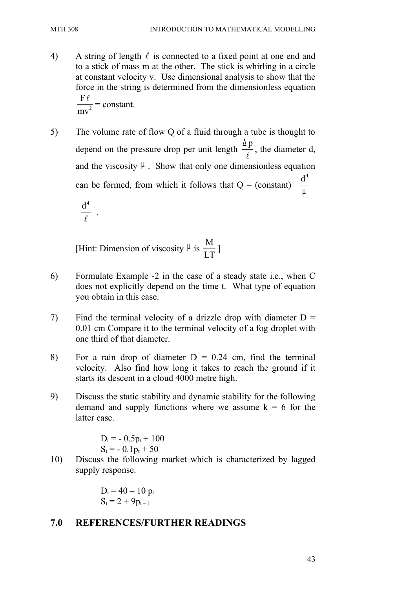- 4) A string of length  $\ell$  is connected to a fixed point at one end and to a stick of mass m at the other. The stick is whirling in a circle at constant velocity v. Use dimensional analysis to show that the force in the string is determined from the dimensionless equation 2 F mv  $\ell$ = constant.
- 5) The volume rate of flow Q of a fluid through a tube is thought to depend on the pressure drop per unit length  $\frac{\Delta p}{q}$  $\ell$ , the diameter d, and the viscosity  $\mu$ . Show that only one dimensionless equation can be formed, from which it follows that  $Q = (constant)$  $\left( \begin{array}{c} d^4 \end{array} \right)$  $\left(\frac{\overline{u}}{\mu}\right)$

$$
\left(\frac{\mathbf{d}^4}{\ell}\right).
$$

[Hint: Dimension of viscosity  $\mu$  is  $\frac{M}{\sqrt{M}}$ LT ]

- 6) Formulate Example -2 in the case of a steady state i.e., when C does not explicitly depend on the time t. What type of equation you obtain in this case.
- 7) Find the terminal velocity of a drizzle drop with diameter  $D =$ 0.01 cm Compare it to the terminal velocity of a fog droplet with one third of that diameter.
- 8) For a rain drop of diameter  $D = 0.24$  cm, find the terminal velocity. Also find how long it takes to reach the ground if it starts its descent in a cloud 4000 metre high.
- 9) Discuss the static stability and dynamic stability for the following demand and supply functions where we assume  $k = 6$  for the latter case.

 $D_t = -0.5p_t + 100$  $S_t = -0.1p_t + 50$ 

10) Discuss the following market which is characterized by lagged supply response.

$$
\begin{array}{l} D_t = 40 - 10 \; p_t \\ S_t = 2 + 9 p_{t-1} \end{array}
$$

### **7.0 REFERENCES/FURTHER READINGS**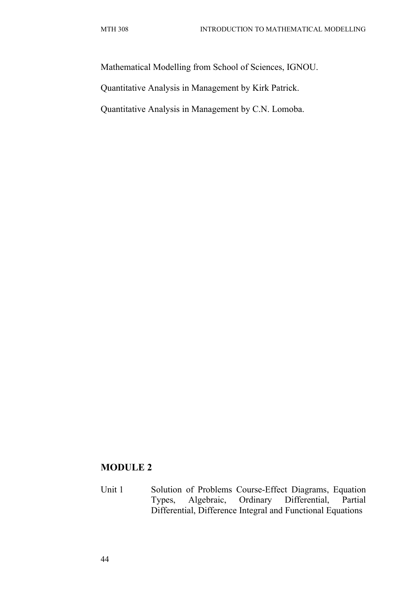Mathematical Modelling from School of Sciences, IGNOU.

Quantitative Analysis in Management by Kirk Patrick.

Quantitative Analysis in Management by C.N. Lomoba.

# **MODULE 2**

Unit 1 Solution of Problems Course-Effect Diagrams, Equation Types, Algebraic, Ordinary Differential, Partial Differential, Difference Integral and Functional Equations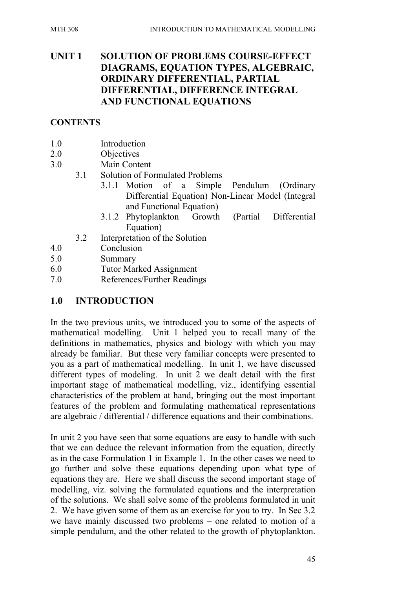# **UNIT 1 SOLUTION OF PROBLEMS COURSE-EFFECT DIAGRAMS, EQUATION TYPES, ALGEBRAIC, ORDINARY DIFFERENTIAL, PARTIAL DIFFERENTIAL, DIFFERENCE INTEGRAL AND FUNCTIONAL EQUATIONS**

### **CONTENTS**

- 1.0 Introduction
- 2.0 Objectives
- 3.0 Main Content
	- 3.1 Solution of Formulated Problems
		- 3.1.1 Motion of a Simple Pendulum (Ordinary Differential Equation) Non-Linear Model (Integral and Functional Equation)
		- 3.1.2 Phytoplankton Growth (Partial Differential Equation)
	- 3.2 Interpretation of the Solution
- 4.0 Conclusion
- 5.0 Summary
- 6.0 Tutor Marked Assignment
- 7.0 References/Further Readings

# **1.0 INTRODUCTION**

In the two previous units, we introduced you to some of the aspects of mathematical modelling. Unit 1 helped you to recall many of the definitions in mathematics, physics and biology with which you may already be familiar. But these very familiar concepts were presented to you as a part of mathematical modelling. In unit 1, we have discussed different types of modeling. In unit 2 we dealt detail with the first important stage of mathematical modelling, viz., identifying essential characteristics of the problem at hand, bringing out the most important features of the problem and formulating mathematical representations are algebraic / differential / difference equations and their combinations.

In unit 2 you have seen that some equations are easy to handle with such that we can deduce the relevant information from the equation, directly as in the case Formulation 1 in Example 1. In the other cases we need to go further and solve these equations depending upon what type of equations they are. Here we shall discuss the second important stage of modelling, viz. solving the formulated equations and the interpretation of the solutions. We shall solve some of the problems formulated in unit 2. We have given some of them as an exercise for you to try. In Sec 3.2 we have mainly discussed two problems – one related to motion of a simple pendulum, and the other related to the growth of phytoplankton.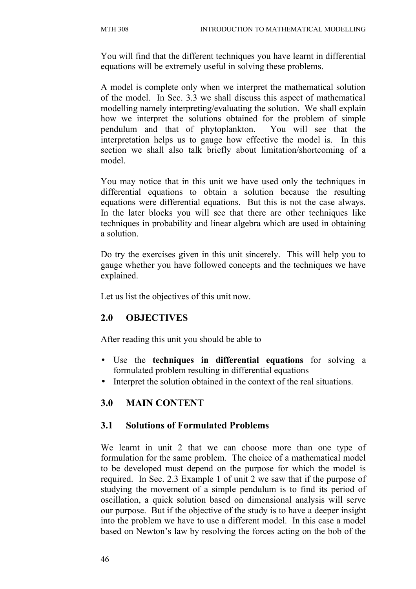You will find that the different techniques you have learnt in differential equations will be extremely useful in solving these problems.

A model is complete only when we interpret the mathematical solution of the model. In Sec. 3.3 we shall discuss this aspect of mathematical modelling namely interpreting/evaluating the solution. We shall explain how we interpret the solutions obtained for the problem of simple pendulum and that of phytoplankton. You will see that the interpretation helps us to gauge how effective the model is. In this section we shall also talk briefly about limitation/shortcoming of a model.

You may notice that in this unit we have used only the techniques in differential equations to obtain a solution because the resulting equations were differential equations. But this is not the case always. In the later blocks you will see that there are other techniques like techniques in probability and linear algebra which are used in obtaining a solution.

Do try the exercises given in this unit sincerely. This will help you to gauge whether you have followed concepts and the techniques we have explained.

Let us list the objectives of this unit now.

# **2.0 OBJECTIVES**

After reading this unit you should be able to

- Use the **techniques in differential equations** for solving a formulated problem resulting in differential equations
- Interpret the solution obtained in the context of the real situations.

# **3.0 MAIN CONTENT**

### **3.1 Solutions of Formulated Problems**

We learnt in unit 2 that we can choose more than one type of formulation for the same problem. The choice of a mathematical model to be developed must depend on the purpose for which the model is required. In Sec. 2.3 Example 1 of unit 2 we saw that if the purpose of studying the movement of a simple pendulum is to find its period of oscillation, a quick solution based on dimensional analysis will serve our purpose. But if the objective of the study is to have a deeper insight into the problem we have to use a different model. In this case a model based on Newton's law by resolving the forces acting on the bob of the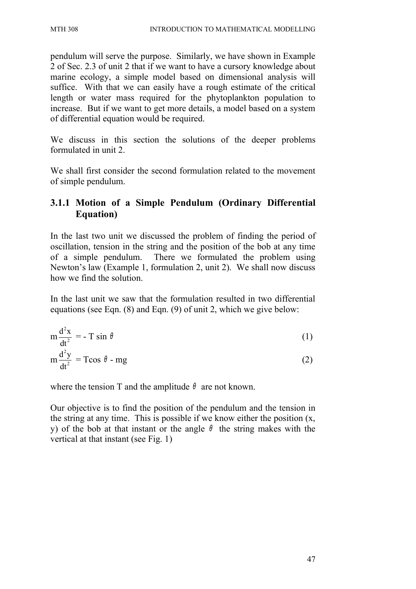pendulum will serve the purpose. Similarly, we have shown in Example 2 of Sec. 2.3 of unit 2 that if we want to have a cursory knowledge about marine ecology, a simple model based on dimensional analysis will suffice. With that we can easily have a rough estimate of the critical length or water mass required for the phytoplankton population to increase. But if we want to get more details, a model based on a system of differential equation would be required.

We discuss in this section the solutions of the deeper problems formulated in unit 2.

We shall first consider the second formulation related to the movement of simple pendulum.

# **3.1.1 Motion of a Simple Pendulum (Ordinary Differential Equation)**

In the last two unit we discussed the problem of finding the period of oscillation, tension in the string and the position of the bob at any time of a simple pendulum. There we formulated the problem using Newton's law (Example 1, formulation 2, unit 2). We shall now discuss how we find the solution.

In the last unit we saw that the formulation resulted in two differential equations (see Eqn. (8) and Eqn. (9) of unit 2, which we give below:

$$
m \frac{d^2 x}{dt^2} = -T \sin \theta
$$
 (1)  

$$
m \frac{d^2 y}{dt^2} = T \cos \theta - mg
$$
 (2)

where the tension T and the amplitude  $\theta$  are not known.

Our objective is to find the position of the pendulum and the tension in the string at any time. This is possible if we know either the position (x, y) of the bob at that instant or the angle  $\theta$  the string makes with the vertical at that instant (see Fig. 1)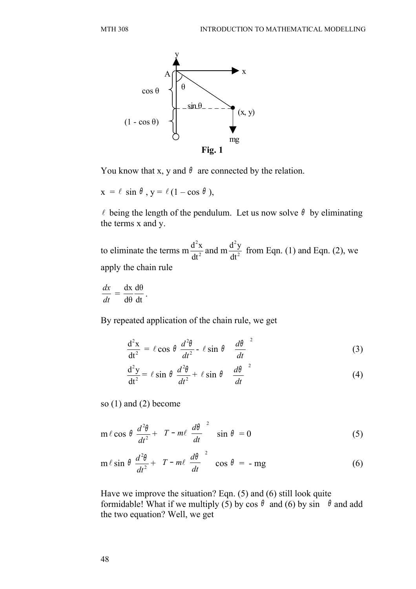

You know that x, y and  $\theta$  are connected by the relation.

 $x = \ell \sin \theta$ ,  $y = \ell (1 - \cos \theta)$ ,

 $\ell$  being the length of the pendulum. Let us now solve  $\theta$  by eliminating the terms x and y.

to eliminate the terms m $\frac{d^{2}A}{dt^{2}}$ 2 dt  $\frac{d^2x}{dt^2}$  and m  $\frac{d^2y}{dt^2}$ 2 dt  $\frac{d^2y}{dx^2}$  from Eqn. (1) and Eqn. (2), we apply the chain rule

*dt dx*  $=\frac{dA}{d\theta}\frac{d\theta}{dt}$ dθ dθ dx

.

By repeated application of the chain rule, we get

$$
\frac{d^2x}{dt^2} = \ell \cos \theta \frac{d^2\theta}{dt^2} - \ell \sin \theta \left(\frac{d\theta}{dt}\right)^2
$$
 (3)

$$
\frac{d^2y}{dt^2} = \ell \sin \theta \frac{d^2\theta}{dt^2} + \ell \sin \theta \left(\frac{d\theta}{dt}\right)^2
$$
 (4)

so (1) and (2) become

$$
m \ell \cos \theta \frac{d^2 \theta}{dt^2} + \left[ T - m\ell \left( \frac{d\theta}{dt} \right)^2 \right] \sin \theta = 0
$$
 (5)

$$
m \ell \sin \theta \frac{d^2\theta}{dt^2} + \left[ T - m\ell \left( \frac{d\theta}{dt} \right)^2 \right] \cos \theta = -mg \tag{6}
$$

Have we improve the situation? Eqn. (5) and (6) still look quite formidable! What if we multiply (5) by cos  $\theta$  and (6) by sin  $\theta$  and add the two equation? Well, we get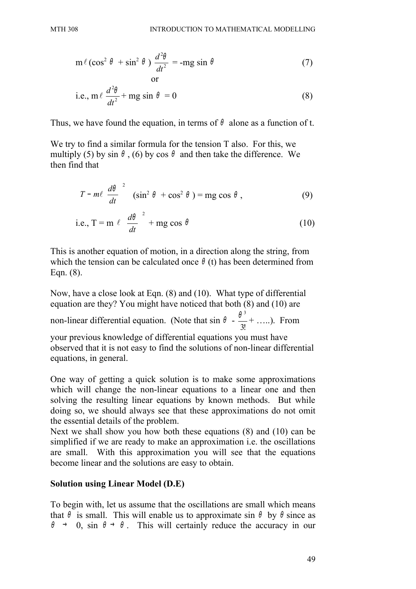$$
m \ell (\cos^2 \theta + \sin^2 \theta) \frac{d^2 \theta}{dt^2} = -mg \sin \theta
$$
 (7)

i.e., 
$$
m \ell \frac{d^2\theta}{dt^2} + mg \sin \theta = 0
$$
 (8)

Thus, we have found the equation, in terms of  $\theta$  alone as a function of t.

We try to find a similar formula for the tension T also. For this, we multiply (5) by sin  $\theta$ , (6) by cos  $\theta$  and then take the difference. We then find that

$$
\left[T - m\ell\left(\frac{d\theta}{dt}\right)^2\right] \left(\sin^2\theta + \cos^2\theta\right) = mg\cos\theta,
$$
\n(9)

i.e., 
$$
T = m \ell \left(\frac{d\theta}{dt}\right)^2 + mg \cos \theta
$$
 (10)

This is another equation of motion, in a direction along the string, from which the tension can be calculated once  $\theta$  (t) has been determined from Eqn. (8).

Now, have a close look at Eqn. (8) and (10). What type of differential equation are they? You might have noticed that both (8) and (10) are non-linear differential equation. (Note that  $\sin \theta$  -3!  $\frac{\theta^3}{\sigma}$  + …..). From

your previous knowledge of differential equations you must have observed that it is not easy to find the solutions of non-linear differential equations, in general.

One way of getting a quick solution is to make some approximations which will change the non-linear equations to a linear one and then solving the resulting linear equations by known methods. But while doing so, we should always see that these approximations do not omit the essential details of the problem.

Next we shall show you how both these equations (8) and (10) can be simplified if we are ready to make an approximation i.e. the oscillations are small. With this approximation you will see that the equations become linear and the solutions are easy to obtain.

### **Solution using Linear Model (D.E)**

To begin with, let us assume that the oscillations are small which means that  $\theta$  is small. This will enable us to approximate sin  $\theta$  by  $\theta$  since as  $\theta \rightarrow 0$ , sin  $\theta \rightarrow \theta$ . This will certainly reduce the accuracy in our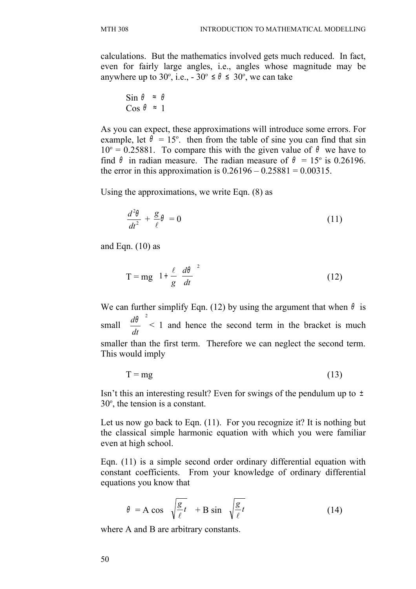calculations. But the mathematics involved gets much reduced. In fact, even for fairly large angles, i.e., angles whose magnitude may be anywhere up to 30°, i.e.,  $-30^\circ \le \theta \le 30^\circ$ , we can take

$$
\begin{array}{rcl}\n\text{Sin } \theta & \approx & \theta \\
\text{Cos } \theta & \approx & 1\n\end{array}
$$

As you can expect, these approximations will introduce some errors. For example, let  $\theta = 15^{\circ}$ . then from the table of sine you can find that sin  $10^{\circ} = 0.25881$ . To compare this with the given value of  $\theta$  we have to find  $\theta$  in radian measure. The radian measure of  $\theta = 15^{\circ}$  is 0.26196. the error in this approximation is  $0.26196 - 0.25881 = 0.00315$ .

Using the approximations, we write Eqn. (8) as

$$
\frac{d^2\theta}{dt^2} + \frac{g}{\ell}\theta = 0\tag{11}
$$

and Eqn.  $(10)$  as

$$
T = mg \left[ 1 + \frac{\ell}{g} \left( \frac{d\theta}{dt} \right)^2 \right]
$$
 (12)

We can further simplify Eqn. (12) by using the argument that when  $\theta$  is small 2  $\mathbf{I}$ J  $\left|\frac{d\sigma}{d\sigma}\right|$  $\overline{ }$ L *dt*  $\left(\frac{d\theta}{dt}\right)^2$  < 1 and hence the second term in the bracket is much smaller than the first term. Therefore we can neglect the second term. This would imply

$$
T = mg \tag{13}
$$

Isn't this an interesting result? Even for swings of the pendulum up to  $\pm$  $30^\circ$ , the tension is a constant.

Let us now go back to Eqn. (11). For you recognize it? It is nothing but the classical simple harmonic equation with which you were familiar even at high school.

Eqn. (11) is a simple second order ordinary differential equation with constant coefficients. From your knowledge of ordinary differential equations you know that

$$
\theta = A \cos \left( \sqrt{\frac{g}{\ell}} t \right) + B \sin \left( \sqrt{\frac{g}{\ell}} t \right)
$$
 (14)

where A and B are arbitrary constants.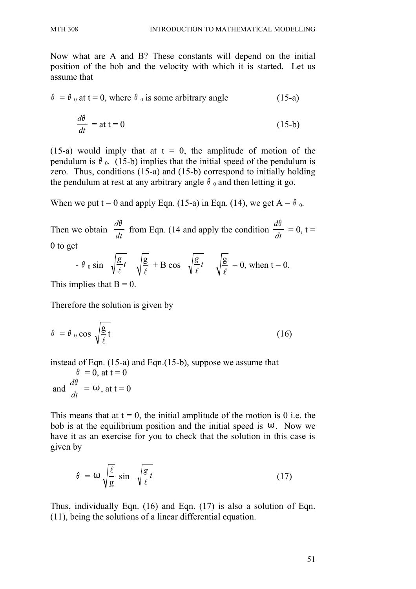Now what are A and B? These constants will depend on the initial position of the bob and the velocity with which it is started. Let us assume that

$$
\theta = \theta_0 \text{ at } t = 0, \text{ where } \theta_0 \text{ is some arbitrary angle } (15-a)
$$

$$
\frac{d\theta}{dt} = at \ t = 0 \tag{15-b}
$$

(15-a) would imply that at  $t = 0$ , the amplitude of motion of the pendulum is  $\theta_0$ . (15-b) implies that the initial speed of the pendulum is zero. Thus, conditions (15-a) and (15-b) correspond to initially holding the pendulum at rest at any arbitrary angle  $\theta_0$  and then letting it go.

When we put t = 0 and apply Eqn. (15-a) in Eqn. (14), we get  $A = \theta_0$ .

Then we obtain  $\frac{dv}{dt}$ *d*θ from Eqn. (14 and apply the condition  $\frac{dv}{dt}$ *d*θ  $= 0, t =$ 0 to get

$$
- \theta_0 \sin\left(\sqrt{\frac{g}{\ell}}t\right) \sqrt{\frac{g}{\ell}} + B \cos\left(\sqrt{\frac{g}{\ell}}t\right) \sqrt{\frac{g}{\ell}} = 0, \text{ when } t = 0.
$$

This implies that  $B = 0$ .

Therefore the solution is given by

$$
\theta = \theta_0 \cos \sqrt{\frac{g}{\ell}} t \tag{16}
$$

instead of Eqn. (15-a) and Eqn.(15-b), suppose we assume that

$$
\theta = 0, \text{ at } t = 0
$$
  
and 
$$
\frac{d\theta}{dt} = \omega, \text{ at } t = 0
$$

This means that at  $t = 0$ , the initial amplitude of the motion is 0 i.e. the bob is at the equilibrium position and the initial speed is  $\omega$ . Now we have it as an exercise for you to check that the solution in this case is given by

$$
\theta = \omega \sqrt{\frac{\ell}{g}} \sin \left( \sqrt{\frac{g}{\ell}} t \right) \tag{17}
$$

Thus, individually Eqn. (16) and Eqn. (17) is also a solution of Eqn. (11), being the solutions of a linear differential equation.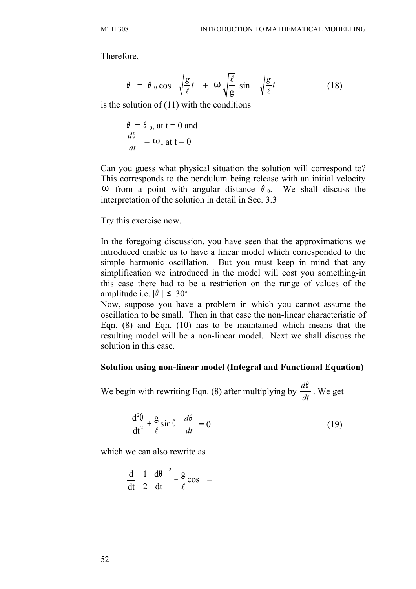Therefore,

$$
\theta = \theta_0 \cos\left(\sqrt{\frac{g}{\ell}}t\right) + \omega \sqrt{\frac{\ell}{g}} \sin\left(\sqrt{\frac{g}{\ell}}t\right)
$$
(18)

is the solution of  $(11)$  with the conditions

$$
\frac{\theta}{dt} = \theta_0, \text{ at } t = 0 \text{ and}
$$

$$
\frac{d\theta}{dt} = \omega, \text{ at } t = 0
$$

Can you guess what physical situation the solution will correspond to? This corresponds to the pendulum being release with an initial velocity ω from a point with angular distance  $θ_0$ . We shall discuss the interpretation of the solution in detail in Sec. 3.3

Try this exercise now.

In the foregoing discussion, you have seen that the approximations we introduced enable us to have a linear model which corresponded to the simple harmonic oscillation. But you must keep in mind that any simplification we introduced in the model will cost you something-in this case there had to be a restriction on the range of values of the amplitude i.e.  $|\theta| \leq 30^{\circ}$ 

Now, suppose you have a problem in which you cannot assume the oscillation to be small. Then in that case the non-linear characteristic of Eqn. (8) and Eqn. (10) has to be maintained which means that the resulting model will be a non-linear model. Next we shall discuss the solution in this case.

#### **Solution using non-linear model (Integral and Functional Equation)**

We begin with rewriting Eqn. (8) after multiplying by  $\frac{dv}{dt}$ *d*θ . We get

$$
\left(\frac{d^2\theta}{dt^2} + \frac{g}{\ell}\sin\theta\right)\frac{d\theta}{dt} = 0\tag{19}
$$

which we can also rewrite as

$$
\frac{d}{dt} \left[ \frac{1}{2} \left( \frac{d\theta}{dt} \right)^2 - \frac{g}{\ell} \cos \right] =
$$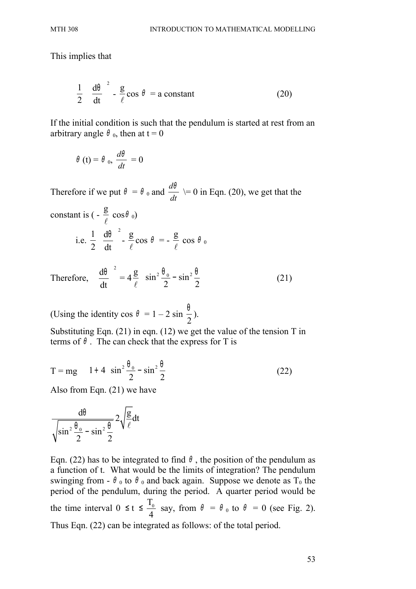This implies that

$$
\frac{1}{2} \left( \frac{d\theta}{dt} \right)^2 - \frac{g}{\ell} \cos \theta = a \text{ constant}
$$
 (20)

If the initial condition is such that the pendulum is started at rest from an arbitrary angle  $\theta_0$ , then at t = 0

$$
\theta(t) = \theta_0, \frac{d\theta}{dt} = 0
$$

Therefore if we put  $\theta = \theta_0$  and  $\frac{dv}{dt}$ *d*θ  $\geq 0$  in Eqn. (20), we get that the constant is  $\left(-\frac{g}{g}\right)$  $\ell$  $cos\theta_0$ i.e.  $\frac{1}{2}$ 2  $d\theta$ <sup>2</sup> dt  $\left(\frac{d\theta}{dt}\right)^2$  g  $\ell$  $\cos \theta =$ g  $\ell$ cos  $\theta_0$ Therefore,  $d\theta$ <sup>2</sup> dt  $\left(\frac{d\theta}{dt}\right)^2 = 4$ g  $\ell$  $\sin^2 \frac{\theta_0}{2} - \sin^2 \theta$ 2  $2$  $\int \sin^2 \theta_0 \sin^2 \theta$  $\left(\sin^2 \frac{6}{2} - \sin^2 \frac{6}{2}\right)$  (21)

(Using the identity cos  $\theta = 1 - 2 \sin \theta$ 2  $\frac{1}{2}$ ).

Substituting Eqn. (21) in eqn. (12) we get the value of the tension T in terms of  $\theta$ . The can check that the express for T is

$$
T = mg \left[ 1 + 4 \left( \sin^2 \frac{\theta_0}{2} - \sin^2 \frac{\theta}{2} \right) \right]
$$
 (22)

Also from Eqn. (21) we have

$$
\frac{d\theta}{\sqrt{\sin^2\frac{\theta_0}{2}-\sin^2\frac{\theta}{2}}} 2\sqrt{\frac{g}{\ell}}dt
$$

Eqn. (22) has to be integrated to find  $\theta$ , the position of the pendulum as a function of t. What would be the limits of integration? The pendulum swinging from -  $\theta_0$  to  $\theta_0$  and back again. Suppose we denote as T<sub>0</sub> the period of the pendulum, during the period. A quarter period would be the time interval  $0 \leq t \leq \frac{T_0}{t_0}$ 4 say, from  $\theta = \theta_0$  to  $\theta = 0$  (see Fig. 2). Thus Eqn. (22) can be integrated as follows: of the total period.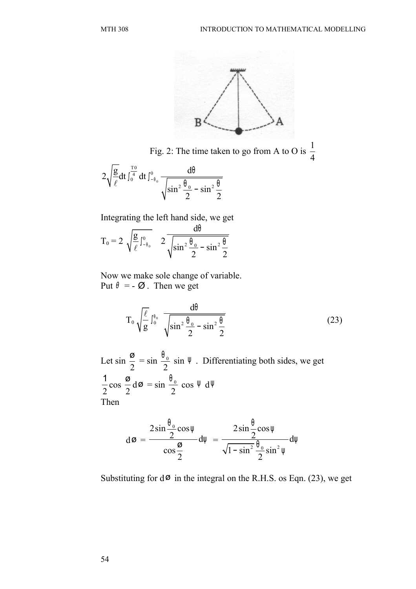

Fig. 2: The time taken to go from A to O is  $\frac{1}{4}$ 4

$$
2\sqrt{\frac{g}{\ell}}dt \int_{0}^{\frac{T0}{4}} dt \int_{-\theta_{0}}^{0} \frac{d\theta}{\sqrt{\sin^{2} \frac{\theta_{0}}{2} - \sin^{2} \frac{\theta}{2}}}
$$

Integrating the left hand side, we get

$$
T_0 = 2 \ \sqrt{\frac{g}{\ell} \int_{-\theta_0}^0} \quad 2 \frac{d\theta}{\sqrt{\sin^2 \frac{\theta_0}{2} - \sin^2 \frac{\theta}{2}}}
$$

Now we make sole change of variable. Put  $\theta = -\emptyset$ . Then we get

$$
T_0 \sqrt{\frac{\ell}{g}} \int_0^{\theta_0} \frac{d\theta}{\sqrt{\sin^2 \frac{\theta_0}{2} - \sin^2 \frac{\theta}{2}}}
$$
 (23)

Let sin 2 ø  $= \sin \frac{\sqrt{0}}{2}$ 2  $\frac{\theta_0}{2}$  sin  $\Psi$ . Differentiating both sides, we get 2 1 cos 2  $\frac{\sigma}{\sigma} d\sigma = \sin \frac{\theta_0}{\sigma}$ 2  $\frac{\theta_0}{2}$  cos  $\Psi$  d $\Psi$ Then

$$
d\varnothing = \frac{2\sin\frac{\theta_0}{2}\cos\psi}{\cos\frac{\varnothing}{2}}d\psi = \frac{2\sin\frac{\theta}{2}\cos\psi}{\sqrt{1-\sin^2\frac{\theta_0}{2}}\sin^2\psi}d\psi
$$

Substituting for  $d\phi$  in the integral on the R.H.S. os Eqn. (23), we get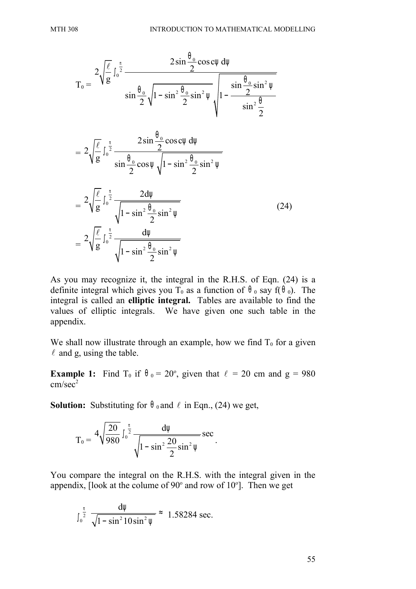$$
T_0 = \frac{2\sqrt{\frac{\ell}{g}} \int_0^{\frac{\pi}{2}} \frac{2\sin\frac{\theta_0}{2}\cos c\psi \,d\psi}{\sin\frac{\theta_0}{2}\sqrt{1-\sin^2\frac{\theta_0}{2}\sin^2\psi}} \sqrt{1-\frac{\sin\frac{\theta_0}{2}\sin^2\psi}{\sin^2\frac{\theta_0}{2}}}
$$
  

$$
= 2\sqrt{\frac{\ell}{g}} \int_0^{\frac{\pi}{2}} \frac{2\sin\frac{\theta_0}{2}\cos c\psi \,d\psi}{\sin\frac{\theta_0}{2}\cos\psi\sqrt{1-\sin^2\frac{\theta_0}{2}\sin^2\psi}}
$$
  

$$
= 2\sqrt{\frac{\ell}{g}} \int_0^{\frac{\pi}{2}} \frac{2d\psi}{\sqrt{1-\sin^2\frac{\theta_0}{2}\sin^2\psi}}
$$
(24)  

$$
= 2\sqrt{\frac{\ell}{g}} \int_0^{\frac{\pi}{2}} \frac{d\psi}{\sqrt{1-\sin^2\frac{\theta_0}{2}\sin^2\psi}}
$$

As you may recognize it, the integral in the R.H.S. of Eqn. (24) is a definite integral which gives you T<sub>0</sub> as a function of  $\theta$ <sub>0</sub> say f( $\theta$ <sub>0</sub>). The integral is called an **elliptic integral.** Tables are available to find the values of elliptic integrals. We have given one such table in the appendix.

We shall now illustrate through an example, how we find  $T_0$  for a given  $\ell$  and g, using the table.

**Example 1:** Find T<sub>0</sub> if  $\theta_0 = 20^\circ$ , given that  $\ell = 20$  cm and  $g = 980$  $cm/sec<sup>2</sup>$ 

**Solution:** Substituting for  $\theta_0$  and  $\ell$  in Eqn., (24) we get,

$$
T_0 = \frac{4\sqrt{\frac{20}{980}} \int_0^{\frac{\pi}{2}} \frac{d\psi}{\sqrt{1 - \sin^2 \frac{20}{2} \sin^2 \psi}} \sec \psi
$$

You compare the integral on the R.H.S. with the integral given in the appendix, [look at the colume of  $90^\circ$  and row of  $10^\circ$ ]. Then we get

.

$$
\int_0^{\frac{\pi}{2}} \frac{d\psi}{\sqrt{1-\sin^2 10\sin^2 \psi}} \approx 1.58284 \text{ sec.}
$$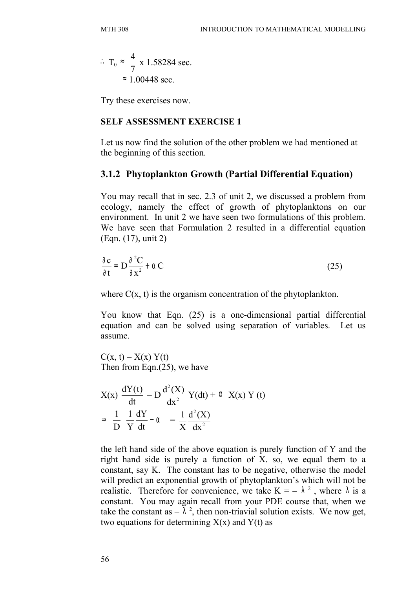$$
\therefore T_0 \approx \frac{4}{7} \times 1.58284 \text{ sec.}
$$

$$
\approx 1.00448 \text{ sec.}
$$

Try these exercises now.

#### **SELF ASSESSMENT EXERCISE 1**

Let us now find the solution of the other problem we had mentioned at the beginning of this section.

#### **3.1.2 Phytoplankton Growth (Partial Differential Equation)**

You may recall that in sec. 2.3 of unit 2, we discussed a problem from ecology, namely the effect of growth of phytoplanktons on our environment. In unit 2 we have seen two formulations of this problem. We have seen that Formulation 2 resulted in a differential equation (Eqn. (17), unit 2)

$$
\frac{\partial c}{\partial t} = D \frac{\partial^2 C}{\partial x^2} + \alpha C \tag{25}
$$

where  $C(x, t)$  is the organism concentration of the phytoplankton.

You know that Eqn. (25) is a one-dimensional partial differential equation and can be solved using separation of variables. Let us assume.

 $C(x, t) = X(x) Y(t)$ Then from Eqn.(25), we have

$$
X(x) \frac{dY(t)}{dt} = D \frac{d^{2}(X)}{dx^{2}} Y(dt) + \alpha X(x) Y(t)
$$
  

$$
\Rightarrow \frac{1}{D} \left( \frac{1}{Y} \frac{dY}{dt} - \alpha \right) = \frac{1}{X} \frac{d^{2}(X)}{dx^{2}}
$$

the left hand side of the above equation is purely function of Y and the right hand side is purely a function of X. so, we equal them to a constant, say K. The constant has to be negative, otherwise the model will predict an exponential growth of phytoplankton's which will not be realistic. Therefore for convenience, we take  $K = -\lambda^2$ , where  $\lambda$  is a constant. You may again recall from your PDE course that, when we take the constant as  $-\lambda^2$ , then non-triavial solution exists. We now get, two equations for determining  $X(x)$  and  $Y(t)$  as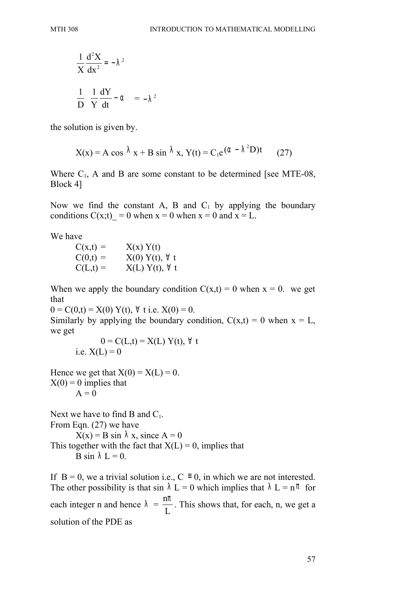$$
\frac{1}{X}\frac{d^2X}{dx^2} = -\lambda^2
$$

$$
\frac{1}{D}\left(\frac{1}{Y}\frac{dY}{dt} - \alpha\right) = -\lambda^2
$$

the solution is given by.

$$
X(x) = A \cos \lambda x + B \sin \lambda x, Y(t) = C_1 e^{(\alpha - \lambda^2 D)t}
$$
 (27)

Where  $C_1$ , A and B are some constant to be determined [see MTE-08, Block 4]

Now we find the constant A, B and  $C_1$  by applying the boundary conditions  $C(x; t) = 0$  when  $x = 0$  when  $x = 0$  and  $x = L$ .

We have

 $C(x,t) = X(x) Y(t)$  $C(0,t) = X(0) Y(t), \forall t$  $C(L,t) = X(L) Y(t), \forall t$ 

When we apply the boundary condition  $C(x,t) = 0$  when  $x = 0$ . we get that

 $0 = C(0,t) = X(0) Y(t), \forall t$  i.e.  $X(0) = 0$ .

Similarly by applying the boundary condition,  $C(x,t) = 0$  when  $x = L$ , we get

$$
0 = C(L,t) = X(L) Y(t), \forall t
$$
  
i.e.  $X(L) = 0$ 

Hence we get that  $X(0) = X(L) = 0$ .  $X(0) = 0$  implies that  $A = 0$ 

Next we have to find B and  $C_1$ . From Eqn. (27) we have  $X(x) = B \sin \lambda x$ , since  $A = 0$ This together with the fact that  $X(L) = 0$ , implies that B sin  $\lambda L = 0$ .

If  $B = 0$ , we a trivial solution i.e.,  $C = 0$ , in which we are not interested. The other possibility is that sin  $\lambda L = 0$  which implies that  $\lambda L = n \pi$  for each integer n and hence  $\lambda$  = n L  $\frac{\pi}{2}$ . This shows that, for each, n, we get a solution of the PDE as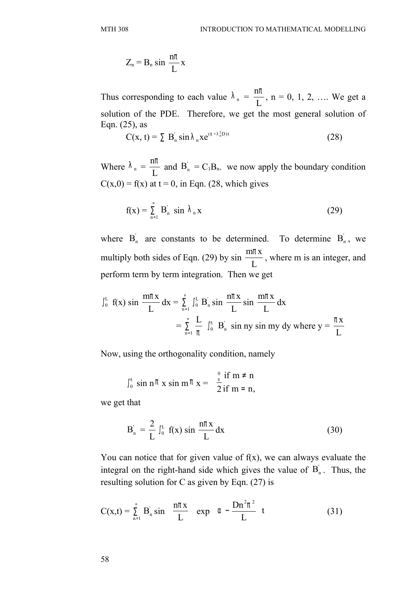$$
Z_n = B_n \sin \frac{n\pi}{L} x
$$

Thus corresponding to each value  $\lambda_n =$ n L  $\frac{\pi}{n}$ , n = 0, 1, 2, .... We get a solution of the PDE. Therefore, we get the most general solution of Eqn. (25), as

$$
C(x, t) = \sum B_n \sin \lambda_n x e^{(\alpha - \lambda_n^2 D)t}
$$
 (28)

Where  $\lambda_n =$ n L  $\frac{\pi}{n}$  and  $B'_n = C_1B_n$ . we now apply the boundary condition  $C(x,0) = f(x)$  at t = 0, in Eqn. (28, which gives

$$
f(x) = \sum_{n=1}^{\infty} B_n \sin \lambda_n x
$$
 (29)

where  $B_n$  are constants to be determined. To determine  $B_n$ , we multiply both sides of Eqn. (29) by sin  $\frac{m\pi x}{r}$ L  $\frac{\pi x}{\sqrt{2}}$ , where m is an integer, and perform term by term integration. Then we get

$$
\int_{0}^{L} f(x) \sin \frac{m\pi x}{L} dx = \sum_{n=1}^{\infty} \int_{0}^{L} B'_{n} \sin \frac{n\pi x}{L} \sin \frac{m\pi x}{L} dx
$$

$$
= \sum_{n=1}^{\infty} \frac{L}{\pi} \int_{0}^{\pi} B'_{n} \sin ny \sin my dy where y = \frac{\pi x}{L}
$$

Now, using the orthogonality condition, namely

$$
\int_0^{\pi} \sin n\pi \times \sin m\pi \times = \begin{cases} 0 & \text{if } m \neq n \\ \frac{\pi}{2} & \text{if } m = n, \end{cases}
$$

we get that

$$
B_n' = \frac{2}{L} \int_0^L f(x) \sin \frac{n\pi x}{L} dx
$$
 (30)

You can notice that for given value of  $f(x)$ , we can always evaluate the integral on the right-hand side which gives the value of  $B_n$ . Thus, the resulting solution for C as given by Eqn. (27) is

$$
C(x,t) = \sum_{n=1}^{\infty} B'_n \sin\left(\frac{n\pi x}{L}\right) \exp\left(\alpha - \frac{Dn^2\pi^2}{L}\right)t
$$
 (31)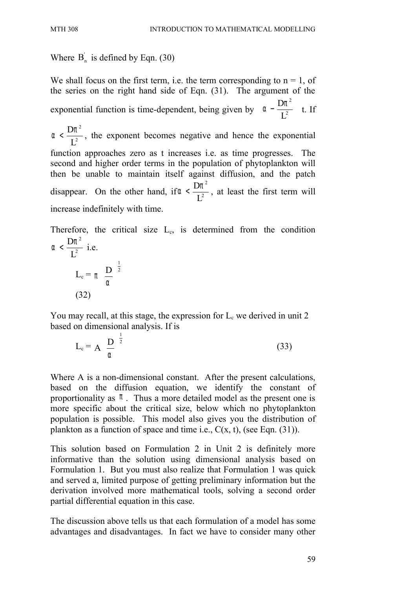# Where  $B_n$  is defined by Eqn. (30)

We shall focus on the first term, i.e. the term corresponding to  $n = 1$ , of the series on the right hand side of Eqn. (31). The argument of the exponential function is time-dependent, being given by 2 2 D L  $\left(\begin{array}{cc}D\pi^2\end{array}\right)$  $\left(\alpha - \frac{B\lambda}{L^2}\right)$  t. If 2 2 D L  $\alpha < \frac{D\pi^2}{r^2}$ , the exponent becomes negative and hence the exponential function approaches zero as t increases i.e. as time progresses. The second and higher order terms in the population of phytoplankton will then be unable to maintain itself against diffusion, and the patch disappear. On the other hand, if 2 2 D L  $\alpha < \frac{D\pi}{r^2}$ , at least the first term will increase indefinitely with time.

Therefore, the critical size  $L_c$ , is determined from the condition 2 2 D L  $\alpha < \frac{D\pi^2}{r^2}$  i.e.

$$
L_c = \pi \left(\frac{D}{\alpha}\right)^{\frac{1}{2}}
$$
\n(32)

You may recall, at this stage, the expression for  $L_c$  we derived in unit 2 based on dimensional analysis. If is

$$
L_c = A \left( \frac{D}{\alpha} \right)^{\frac{1}{2}}
$$
 (33)

Where A is a non-dimensional constant. After the present calculations, based on the diffusion equation, we identify the constant of proportionality as  $\pi$ . Thus a more detailed model as the present one is more specific about the critical size, below which no phytoplankton population is possible. This model also gives you the distribution of plankton as a function of space and time i.e.,  $C(x, t)$ , (see Eqn. (31)).

This solution based on Formulation 2 in Unit 2 is definitely more informative than the solution using dimensional analysis based on Formulation 1. But you must also realize that Formulation 1 was quick and served a, limited purpose of getting preliminary information but the derivation involved more mathematical tools, solving a second order partial differential equation in this case.

The discussion above tells us that each formulation of a model has some advantages and disadvantages. In fact we have to consider many other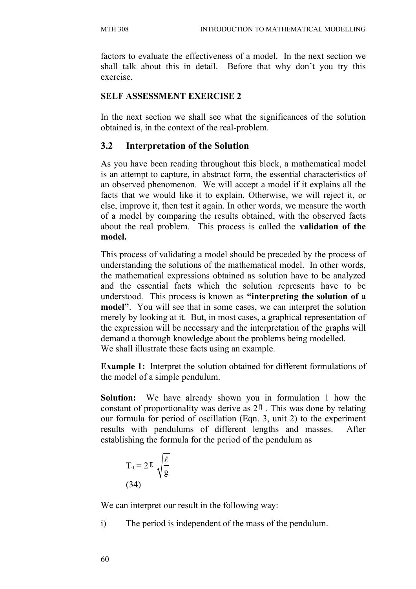factors to evaluate the effectiveness of a model. In the next section we shall talk about this in detail. Before that why don't you try this exercise.

#### **SELF ASSESSMENT EXERCISE 2**

In the next section we shall see what the significances of the solution obtained is, in the context of the real-problem.

### **3.2 Interpretation of the Solution**

As you have been reading throughout this block, a mathematical model is an attempt to capture, in abstract form, the essential characteristics of an observed phenomenon. We will accept a model if it explains all the facts that we would like it to explain. Otherwise, we will reject it, or else, improve it, then test it again. In other words, we measure the worth of a model by comparing the results obtained, with the observed facts about the real problem. This process is called the **validation of the model.**

This process of validating a model should be preceded by the process of understanding the solutions of the mathematical model. In other words, the mathematical expressions obtained as solution have to be analyzed and the essential facts which the solution represents have to be understood. This process is known as **"interpreting the solution of a model"**. You will see that in some cases, we can interpret the solution merely by looking at it. But, in most cases, a graphical representation of the expression will be necessary and the interpretation of the graphs will demand a thorough knowledge about the problems being modelled. We shall illustrate these facts using an example.

**Example 1:** Interpret the solution obtained for different formulations of the model of a simple pendulum.

**Solution:** We have already shown you in formulation 1 how the constant of proportionality was derive as  $2<sup>\pi</sup>$ . This was done by relating our formula for period of oscillation (Eqn. 3, unit 2) to the experiment results with pendulums of different lengths and masses. After establishing the formula for the period of the pendulum as

$$
T_0 = 2\pi \sqrt{\frac{\ell}{g}}
$$
  
(34)

We can interpret our result in the following way:

i) The period is independent of the mass of the pendulum.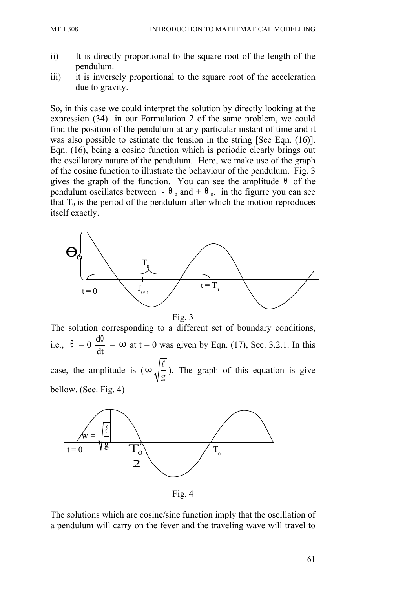- ii) It is directly proportional to the square root of the length of the pendulum.
- iii) it is inversely proportional to the square root of the acceleration due to gravity.

So, in this case we could interpret the solution by directly looking at the expression (34) in our Formulation 2 of the same problem, we could find the position of the pendulum at any particular instant of time and it was also possible to estimate the tension in the string [See Eqn. (16)]. Eqn. (16), being a cosine function which is periodic clearly brings out the oscillatory nature of the pendulum. Here, we make use of the graph of the cosine function to illustrate the behaviour of the pendulum. Fig. 3 gives the graph of the function. You can see the amplitude  $\theta$  of the pendulum oscillates between -  $\theta_0$  and +  $\theta_0$ . in the figurre you can see that  $T_0$  is the period of the pendulum after which the motion reproduces itself exactly.



The solution corresponding to a different set of boundary conditions, i.e.,  $\theta = 0$ d dt  $\frac{\theta}{\theta}$  =  $\omega$  at t = 0 was given by Eqn. (17), Sec. 3.2.1. In this case, the amplitude is  $(\omega)$ g  $\ell$ ). The graph of this equation is give bellow. (See. Fig. 4)



Fig. 4

The solutions which are cosine/sine function imply that the oscillation of a pendulum will carry on the fever and the traveling wave will travel to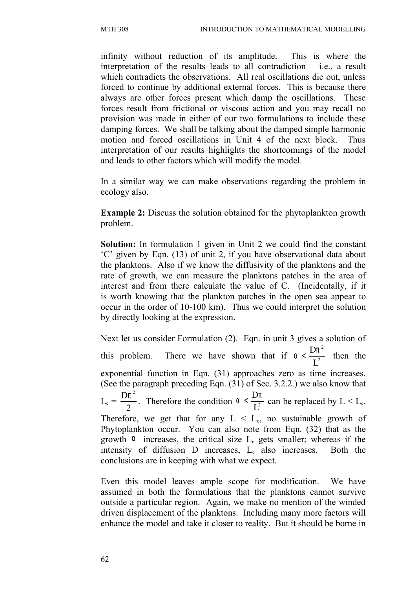infinity without reduction of its amplitude. This is where the interpretation of the results leads to all contradiction  $-$  i.e., a result which contradicts the observations. All real oscillations die out, unless forced to continue by additional external forces. This is because there always are other forces present which damp the oscillations. These forces result from frictional or viscous action and you may recall no provision was made in either of our two formulations to include these damping forces. We shall be talking about the damped simple harmonic motion and forced oscillations in Unit 4 of the next block. Thus interpretation of our results highlights the shortcomings of the model and leads to other factors which will modify the model.

In a similar way we can make observations regarding the problem in ecology also.

**Example 2:** Discuss the solution obtained for the phytoplankton growth problem.

**Solution:** In formulation 1 given in Unit 2 we could find the constant 'C' given by Eqn. (13) of unit 2, if you have observational data about the planktons. Also if we know the diffusivity of the planktons and the rate of growth, we can measure the planktons patches in the area of interest and from there calculate the value of C. (Incidentally, if it is worth knowing that the plankton patches in the open sea appear to occur in the order of 10-100 km). Thus we could interpret the solution by directly looking at the expression.

Next let us consider Formulation (2). Eqn. in unit 3 gives a solution of this problem. There we have shown that if  $\alpha$ 2 2 D L  $\alpha < \frac{D\pi}{r^2}$  then the exponential function in Eqn. (31) approaches zero as time increases. (See the paragraph preceding Eqn. (31) of Sec. 3.2.2.) we also know that  $L_c =$  $\mathsf{D} \pi^2$ 2  $\frac{\pi}{2}$ . Therefore the condition  $\alpha < \frac{D\pi}{L^2}$ D L  $\alpha < \frac{D\pi}{r^2}$  can be replaced by  $L < L_c$ . Therefore, we get that for any  $L < L<sub>c</sub>$ , no sustainable growth of Phytoplankton occur. You can also note from Eqn. (32) that as the growth  $\alpha$  increases, the critical size  $L_c$  gets smaller; whereas if the intensity of diffusion  $D$  increases,  $L<sub>c</sub>$  also increases. Both the conclusions are in keeping with what we expect.

Even this model leaves ample scope for modification. We have assumed in both the formulations that the planktons cannot survive outside a particular region. Again, we make no mention of the winded driven displacement of the planktons. Including many more factors will enhance the model and take it closer to reality. But it should be borne in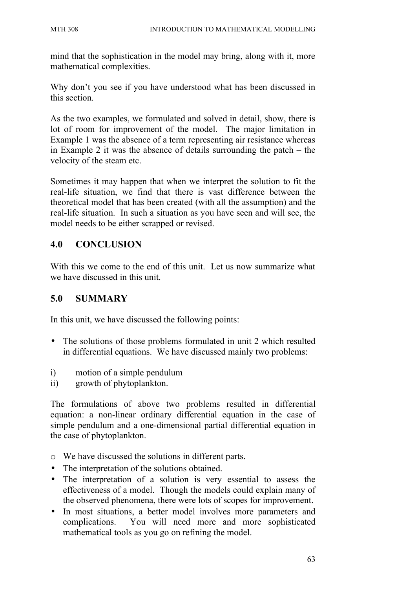mind that the sophistication in the model may bring, along with it, more mathematical complexities.

Why don't you see if you have understood what has been discussed in this section.

As the two examples, we formulated and solved in detail, show, there is lot of room for improvement of the model. The major limitation in Example 1 was the absence of a term representing air resistance whereas in Example 2 it was the absence of details surrounding the patch – the velocity of the steam etc.

Sometimes it may happen that when we interpret the solution to fit the real-life situation, we find that there is vast difference between the theoretical model that has been created (with all the assumption) and the real-life situation. In such a situation as you have seen and will see, the model needs to be either scrapped or revised.

# **4.0 CONCLUSION**

With this we come to the end of this unit. Let us now summarize what we have discussed in this unit.

## **5.0 SUMMARY**

In this unit, we have discussed the following points:

- The solutions of those problems formulated in unit 2 which resulted in differential equations. We have discussed mainly two problems:
- i) motion of a simple pendulum
- ii) growth of phytoplankton.

The formulations of above two problems resulted in differential equation: a non-linear ordinary differential equation in the case of simple pendulum and a one-dimensional partial differential equation in the case of phytoplankton.

- o We have discussed the solutions in different parts.
- The interpretation of the solutions obtained.
- The interpretation of a solution is very essential to assess the effectiveness of a model. Though the models could explain many of the observed phenomena, there were lots of scopes for improvement.
- In most situations, a better model involves more parameters and complications. You will need more and more sophisticated mathematical tools as you go on refining the model.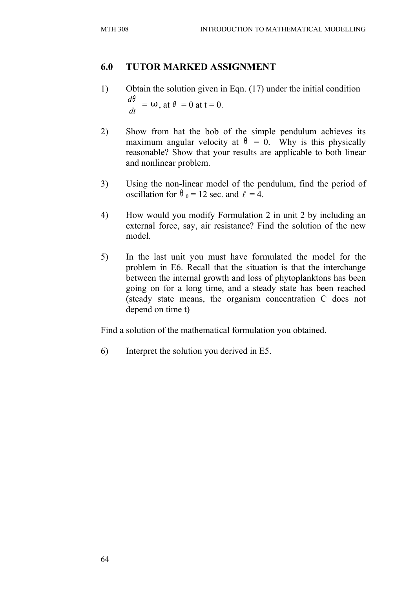### **6.0 TUTOR MARKED ASSIGNMENT**

- 1) Obtain the solution given in Eqn. (17) under the initial condition *dt*  $\frac{d\theta}{dt} = \omega$ , at  $\theta = 0$  at t = 0.
- 2) Show from hat the bob of the simple pendulum achieves its maximum angular velocity at  $\theta = 0$ . Why is this physically reasonable? Show that your results are applicable to both linear and nonlinear problem.
- 3) Using the non-linear model of the pendulum, find the period of oscillation for  $\theta_0 = 12$  sec. and  $\ell = 4$ .
- 4) How would you modify Formulation 2 in unit 2 by including an external force, say, air resistance? Find the solution of the new model.
- 5) In the last unit you must have formulated the model for the problem in E6. Recall that the situation is that the interchange between the internal growth and loss of phytoplanktons has been going on for a long time, and a steady state has been reached (steady state means, the organism concentration C does not depend on time t)

Find a solution of the mathematical formulation you obtained.

6) Interpret the solution you derived in E5.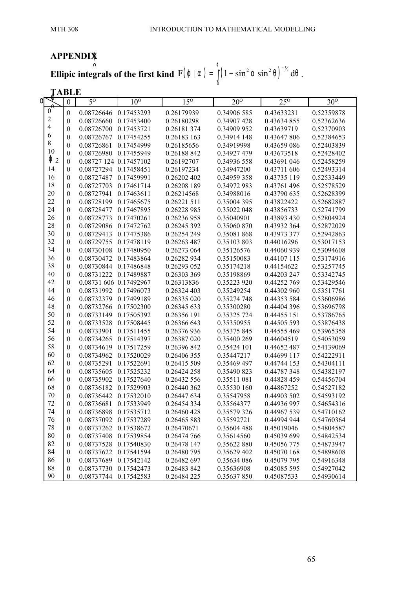#### **APPENDIX** ϕ

**Ellipic integrals of the first kind**  $F(\phi | \alpha) = \int (1 - \sin^2 \alpha \sin^2 \theta)^{-1/2}$ 0 **grals of the first kind**  $F(\varphi | \alpha) = \int_0^{\varphi} (1 - \sin^2 \alpha \sin^2 \theta)^{-\frac{1}{2}} d\theta$ .

| TABLE            |                         |                  |                        |                 |             |              |             |            |
|------------------|-------------------------|------------------|------------------------|-----------------|-------------|--------------|-------------|------------|
| αι               |                         | $\boldsymbol{0}$ | $\overline{5^0}$       | 10 <sup>o</sup> | $15^\circ$  | $20^{\circ}$ | $25^\circ$  | $30^\circ$ |
| $\boldsymbol{0}$ |                         | $\boldsymbol{0}$ | 0.08726646             | 0.17453293      | 0.26179939  | 0.34906 585  | 0.43633231  | 0.52359878 |
|                  | $\overline{c}$          | $\boldsymbol{0}$ | 0.08726660             | 0.17453400      | 0.26180298  | 0.34907 428  | 0.43634 855 | 0.52362636 |
|                  | $\overline{\mathbf{4}}$ | $\mathbf{0}$     | 0.08726700             | 0.17453721      | 0.26181374  | 0.34909 952  | 0.43639719  | 0.52370903 |
| 6                |                         | $\boldsymbol{0}$ | 0.08726767             | 0.17454255      | 0.26183 163 | 0.34914 148  | 0.43647806  | 0.52384653 |
|                  | $8\,$                   | $\boldsymbol{0}$ | 0.08726861             | 0.17454999      | 0.26185656  | 0.34919998   | 0.43659 086 | 0.52403839 |
|                  | 10                      | $\boldsymbol{0}$ | 0.08726980             | 0.17455949      | 0.26188 842 | 0.34927 479  | 0.43673518  | 0.52428402 |
|                  | $\varphi$ 2             | $\boldsymbol{0}$ | 0.08727 124 0.17457102 |                 | 0.26192707  | 0.34936 558  | 0.43691 046 | 0.52458259 |
|                  | 14                      | $\mathbf{0}$     | 0.08727294             | 0.17458451      | 0.26197234  | 0.34947200   | 0.43711 606 | 0.52493314 |
|                  | 16                      | $\boldsymbol{0}$ | 0.08727487             | 0.17459991      | 0.26202 402 | 0.34959 358  | 0.43735 119 | 0.52533449 |
|                  | 18                      | $\boldsymbol{0}$ | 0.08727703             | 0.17461714      | 0.26208 189 | 0.34972 983  | 0.43761 496 | 0.52578529 |
|                  | 20                      | $\boldsymbol{0}$ | 0.08727941             | 0.17463611      | 0.26214568  | 0.34988016   | 0.43790 635 | 0.52628399 |
|                  | 22                      | $\boldsymbol{0}$ | 0.08728199 0.17465675  |                 | 0.26221 511 | 0.35004 395  | 0.43822422  | 0.52682887 |
|                  | 24                      | $\boldsymbol{0}$ | 0.08728477             | 0.17467895      | 0.26228 985 | 0.35022 048  | 0.43856733  | 0.52741799 |
|                  | 26                      | $\boldsymbol{0}$ | 0.08728773             | 0.17470261      | 0.26236 958 | 0.35040901   | 0.43893 430 | 0.52804924 |
|                  | 28                      | $\mathbf{0}$     | 0.08729086             | 0.17472762      | 0.26245 392 | 0.35060 870  | 0.43932 364 | 0.52872029 |
|                  | 30                      | $\mathbf{0}$     | 0.08729413             | 0.17475386      | 0.26254 249 | 0.35081868   | 0.43973 377 | 0.52942863 |
|                  | 32                      | $\mathbf{0}$     | 0.08729755             | 0.17478119      | 0.26263 487 | 0.35103803   | 0.44016296  | 0.53017153 |
|                  | 34                      | $\mathbf{0}$     | 0.08730108             | 0.17480950      | 0.26273 064 | 0.35126576   | 0.44060 939 | 0.53094608 |
|                  | 36                      | $\mathbf{0}$     | 0.08730472             | 0.17483864      | 0.26282 934 | 0.35150083   | 0.44107 115 | 0.53174916 |
|                  | 38                      | $\boldsymbol{0}$ | 0.08730844             | 0.17486848      | 0.26293 052 | 0.35174218   | 0.44154622  | 0.53257745 |
|                  | 40                      | $\boldsymbol{0}$ | 0.08731222             | 0.17489887      | 0.26303 369 | 0.35198869   | 0.44203 247 | 0.53342745 |
|                  | 42                      | $\boldsymbol{0}$ | 0.08731 606 0.17492967 |                 | 0.26313836  | 0.35223 920  | 0.44252 769 | 0.53429546 |
|                  | 44                      | $\boldsymbol{0}$ | 0.08731992             | 0.17496073      | 0.26324 403 | 0.35249254   | 0.44302 960 | 0.53517761 |
|                  | 46                      | $\boldsymbol{0}$ | 0.08732379             | 0.17499189      | 0.26335 020 | 0.35274 748  | 0.44353 584 | 0.53606986 |
|                  | 48                      | $\boldsymbol{0}$ | 0.08732766             | 0.17502300      | 0.26345 633 | 0.35300280   | 0.44404 396 | 0.53696798 |
|                  | 50                      | $\boldsymbol{0}$ | 0.08733149 0.17505392  |                 | 0.26356 191 | 0.35325 724  | 0.44455 151 | 0.53786765 |
|                  | 52                      | $\boldsymbol{0}$ | 0.08733528             | 0.17508445      | 0.26366 643 | 0.35350955   | 0.44505 593 | 0.53876438 |
|                  | 54                      | $\boldsymbol{0}$ | 0.08733901             | 0.17511455      | 0.26376 936 | 0.35375 845  | 0.44555 469 | 0.53965358 |
|                  | 56                      | $\boldsymbol{0}$ | 0.08734265             | 0.17514397      | 0.26387 020 | 0.35400 269  | 0.44604519  | 0.54053059 |
|                  | 58                      | $\boldsymbol{0}$ | 0.08734619             | 0.17517259      | 0.26396 842 | 0.35424 101  | 0.44652 487 | 0.54139069 |
|                  | 60                      | $\boldsymbol{0}$ | 0.08734962             | 0.17520029      | 0.26406 355 | 0.35447217   | 0.44699 117 | 0.54222911 |
|                  | 62                      | $\mathbf{0}$     | 0.08735291             | 0.17522691      | 0.26415 509 | 0.35469 497  | 0.44744 153 | 0.54304111 |
|                  | 64                      | $\boldsymbol{0}$ | 0.08735605             | 0.17525232      | 0.26424 258 | 0.35490 823  | 0.44787348  | 0.54382197 |
|                  | 66                      | $\mathbf{0}$     | 0.08735902             | 0.17527640      | 0.26432 556 | 0.35511 081  | 0.44828 459 | 0.54456704 |
|                  | 68                      | $\boldsymbol{0}$ | 0.08736182             | 0.17529903      | 0.26440 362 | 0.35530 160  | 0.44867252  | 0.54527182 |
|                  | 70                      | $\mathbf{0}$     | 0.08736442             | 0.17532010      | 0.26447 634 | 0.35547958   | 0.44903 502 | 0.54593192 |
|                  | 72                      | $\boldsymbol{0}$ | 0.08736681             | 0.17533949      | 0.26454 334 | 0.35564377   | 0.44936 997 | 0.54654316 |
|                  | 74                      | $\boldsymbol{0}$ | 0.08736898             | 0.17535712      | 0.26460 428 | 0.35579 326  | 0.44967 539 | 0.54710162 |
|                  | 76                      | $\boldsymbol{0}$ | 0.08737092 0.17537289  |                 | 0.26465 883 | 0.35592721   | 0.44994 944 | 0.54760364 |
|                  | 78                      | $\boldsymbol{0}$ | 0.08737262 0.17538672  |                 | 0.26470671  | 0.35604 488  | 0.45019046  | 0.54804587 |
|                  | 80                      | $\boldsymbol{0}$ | 0.08737408             | 0.17539854      | 0.26474 766 | 0.35614560   | 0.45039 699 | 0.54842534 |
|                  | 82                      | $\boldsymbol{0}$ | 0.08737528             | 0.17540830      | 0.26478 147 | 0.35622880   | 0.45056 775 | 0.54873947 |
|                  | 84                      | $\boldsymbol{0}$ | 0.08737622 0.17541594  |                 | 0.26480 795 | 0.35629 402  | 0.45070 168 | 0.54898608 |
|                  | 86                      | $\boldsymbol{0}$ | 0.08737689             | 0.17542142      | 0.26482 697 | 0.35634 086  | 0.45079 795 | 0.54916348 |
|                  | 88                      | $\boldsymbol{0}$ | 0.08737730             | 0.17542473      | 0.26483 842 | 0.35636908   | 0.45085 595 | 0.54927042 |
|                  | 90                      | $\boldsymbol{0}$ | 0.08737744             | 0.17542583      | 0.26484 225 | 0.35637850   | 0.45087533  | 0.54930614 |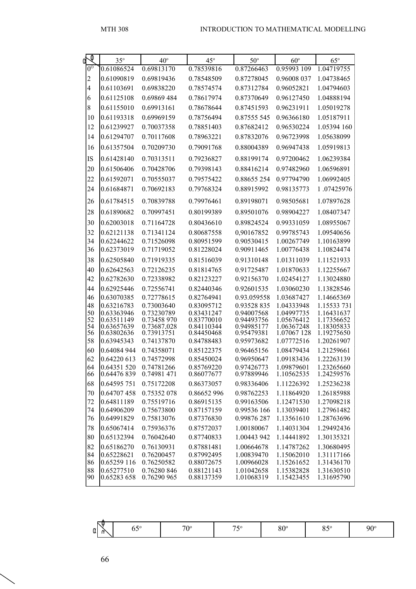| $\overline{\mathbb{Q}}$<br>M | $35^\circ$                 | $40^{\circ}$               | $45^{\circ}$             | $50^\circ$                | $60^\circ$               | $65^{\circ}$             |
|------------------------------|----------------------------|----------------------------|--------------------------|---------------------------|--------------------------|--------------------------|
| $0^{\rm o}$                  | 0.61086524                 | 0.69813170                 | 0.78539816               | 0.87266463                | 0.95993 109              | 1.04719755               |
| $\overline{c}$               | 0.61090819                 | 0.69819436                 | 0.78548509               | 0.87278045                | 0.96008 037              | 1.04738465               |
| $\overline{4}$               | 0.61103691                 | 0.69838220                 | 0.78574574               | 0.87312784                | 0.96052821               | 1.04794603               |
| 6                            | 0.61125108                 | 0.69869 484                | 0.78617974               | 0.87370649                | 0.96127450               | 1.04888194               |
| 8                            | 0.61155010                 | 0.69913161                 | 0.78678644               | 0.87451593                | 0.96231911               | 1.05019278               |
| 10                           | 0.61193318                 | 0.69969159                 | 0.78756494               | 0.87555 545               | 0.96366180               | 1.05187911               |
| 12                           | 0.61239927                 | 0.70037358                 | 0.78851403               | 0.87682412                | 0.96530224               | 1.05394 160              |
| 14                           | 0.61294707                 | 0.70117608                 | 0.78963221               | 0.87832076                | 0.96723998               | 1.05638099               |
| 16                           | 0.61357504                 | 0.70209730                 | 0.79091768               | 0.88004389                | 0.96947438               | 1.05919813               |
| <b>IS</b>                    | 0.61428140                 | 0.70313511                 | 0.79236827               | 0.88199174                | 0.97200462               | 1.06239384               |
| 20                           | 0.61506406                 | 0.70428706                 | 0.79398143               | 0.88416214                | 0.97482960               | 1.06596891               |
| 22                           | 0.61592071                 | 0.70555037                 | 0.79575422               | 0.88655 254               | 0.97794790               | 1.06992405               |
| 24                           | 0.61684871                 | 0.70692183                 | 0.79768324               | 0.88915992                | 0.98135773               | 1.07425976               |
| 26                           | 0.61784515                 | 0.70839788                 | 0.79976461               | 0.89198071                | 0.98505681               | 1.07897628               |
| 28                           | 0.61890682                 | 0.70997451                 | 0.80199389               | 0.89501076                | 0.98904227               | 1.08407347               |
| 30                           | 0.62003018                 | 0.71164728                 | 0.80436610               | 0.89824524                | 0.99331059               | 1.08955067               |
| 32                           | 0.62121138                 | 0.71341124                 | 0.80687558               | 0,90167852                | 0.99785743               | 1.09540656               |
| 34                           | 0.62244622                 | 0.71526098                 | 0.80951599               | 0.90530415                | 1.00267749               | 1.10163899               |
| 36                           | 0.62373019                 | 0.71719052                 | 0.81228024               | 0.90911465                | 1.00776438               | 1.10824474               |
| 38                           | 0.62505840                 | 0.71919335                 | 0.81516039               | 0.91310148                | 1.01311039               | 1.11521933               |
| 40                           | 0.62642563                 | 0.72126235                 | 0.81814765               | 0.91725487                | 1.01870633               | 1.12255667               |
| 42                           | 0.62782630                 | 0.72338982                 | 0.82123227               | 0.92156370                | 1.02454127               | 1.13024880               |
| 44<br>46                     | 0.62925446<br>0.63070385   | 0.72556741<br>0.72778615   | 0.82440346<br>0.82764941 | 0.92601535<br>0.93.059558 | 1.03060230<br>1.03687427 | 1.13828546<br>1.14665369 |
| 48                           | 0.63216783                 | 0.73003640                 | 0.83095712               | 0.93528 835               | 1.04333948               | 1.15533 731              |
| 50                           | 0.63363946                 | 0.73230789                 | 0.83431247               | 0.94007568                | 1.04997735               | 1.16431637               |
| 52<br>54                     | 0.63511149<br>0.63657639   | 0.73458 970<br>0.73687.028 | 0.83770010<br>0.84110344 | 0.94493756<br>0.94985177  | 1.05676412<br>1.06367248 | 1.17356652<br>1.18305833 |
| 56                           | 0.63802636                 | 0.73913751                 | 0.84450468               | 0.95479381                | 1.07067 128              | 1.19275650               |
| 58                           | 0.63945343                 | 0.74137870                 | 0.84788483               | 0.95973682                | 1.07772516               | 1.20261907               |
| 60                           | 0.64084 944                | 0.74358071                 | 0.85122375               | 0.96465156                | 1.08479434               | 1.21259661               |
| 62                           | 0.64220 613                | 0.74572998                 | 0.85450024               | 0.96950647                | 1.09183436               | 1.22263139               |
| 64<br>66                     | 0.64351 520<br>0.64476 839 | 0.74781266<br>0.74981 471  | 0.85769220<br>0.86077677 | 0.97426773<br>0.97889946  | 1.09879601<br>1.10562535 | 1.23265660<br>1.24259576 |
| 68                           | 0.64595 751                | 0.75172208                 | 0.86373057               | 0.98336406                | 1.11226392               | 1.25236238               |
| 70                           | 0.64707 458                | 0.75352 078                | 0.86652 996              | 0.98762253                | 1.11864920               | 1.26185988               |
| 72                           | 0.64811189                 | 0.75519716                 | 0.86915135               | 0.99163506                | 1.12471530               | 1.27098218               |
| 74                           | 0.64906209                 | 0.75673800                 | 0.87157159               | 0.99536 166               | 1.13039401               | 1.27961482               |
| 76                           | 0.64991829                 | 0.75813076                 | 0.87376830               | 0.99876 287               | 1.13561610               | 1.28763696               |
| 78                           | 0.65067414<br>0.65132394   | 0.75936376                 | 0.87572037<br>0.87740833 | 1.00180067                | 1.14031304<br>1.14441892 | 1.29492436<br>1.30135321 |
| 80<br>82                     | 0.65186270                 | 0.76042640<br>0.76130931   | 0.87881481               | 1.00443 942<br>1.00664678 | 1.14787262               | 1.30680495               |
| 84                           | 0.65228621                 | 0.76200457                 | 0.87992495               | 1.00839470                | 1.15062010               | 1.31117166               |
| 86                           | 0.65259 116                | 0.76250582                 | 0.88072675               | 1.00966028                | 1.15261652               | 1.31436170               |
| 88                           | 0.65277510                 | 0.76280 846                | 0.88121143               | 1.01042658                | 1.15382828               | 1.31630510               |
| 90                           | 0.65283 658                | 0.76290 965                | 0.88137359               | 1.01068319                | 1.15423455               | 1.31695790               |

| w<br>700.<br>$\alpha$ |  | 00 <sup>0</sup><br>ou |  | $\sim$ $\sim$ $\sim$<br>. 11 |
|-----------------------|--|-----------------------|--|------------------------------|
|-----------------------|--|-----------------------|--|------------------------------|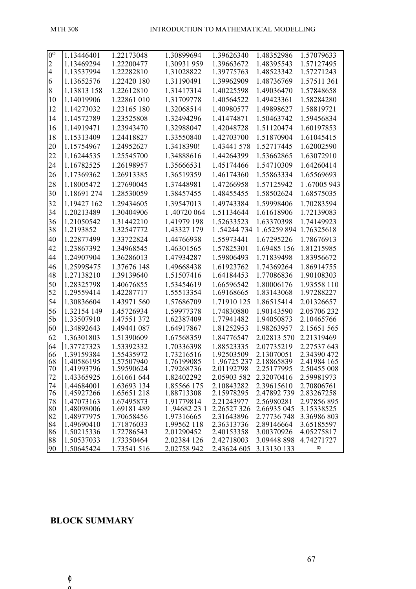| $0^{\rm o}$    | 1.13446401               | 1.22173048               | 1.30899694                | 1.39626340                | 1.48352986               | 1.57079633                 |
|----------------|--------------------------|--------------------------|---------------------------|---------------------------|--------------------------|----------------------------|
| $\overline{2}$ | 1.13469294               | 1.22200477               | 1.30931 959               | 1.39663672                | 1.48395543               | 1.57127495                 |
| $\overline{4}$ | 1.13537994               | 1.22282810               | 1.31028822                | 1.39775763                | 1.48523342               | 1.57271243                 |
| 6              | 1.13652576               | 1.22420 180              | 1.31190491                | 1.39962909                | 1.48736769               | 1.57511 361                |
| 8              | 1.13813 158              | 1.22612810               | 1.31417314                | 1.40225598                | 1.49036470               | 1.57848658                 |
| 10             | 1.14019906               | 1.22861 010              | 1.31709778                | 1.40564522                | 1.49423361               | 1.58284280                 |
| 12             | 1.14273032               | 1.23165 180              | 1.32068514                | 1.40980577                | 1.49898627               | 1.58819721                 |
| 14             | 1.14572789               | 1.23525808               | 1.32494296                | 1.41474871                | 1.50463742               | 1.59456834                 |
| 16             | 1.14919471               | 1.23943470               | 1.32988047                | 1.42048728                | 1.51120474               | 1.60197853                 |
| 18             | 1.15313409               | 1.24418827               | 1.33550840                | 1.42703700                | 1.51870904               | 1.61045415                 |
| 20             | 1.15754967               | 1.24952627               | 1.3418390!                | 1.43441 578               | 1.52717445               | 1.62002590                 |
| 22             | 1.16244535               | 1.25545700               | 1.34888616                | 1.44264399                | 1.53662865               | 1.63072910                 |
| 24             | 1.16782525               | 1.26198957               | 1.35666531                | 1.45174466                | 1.54710309               | 1.64260414                 |
| 26             | 1.17369362               | 1.26913385               | 1.36519359                | 1.46174360                | 1.55863334               | 1.65569693                 |
| 28             | 1.18005472               | 1.27690045               | 1.37448981                | 1.47266958                | 1.57125942               | 1.67005 943                |
| 30             | 1.18691 274              | 1.28530059               | 1.38457455                | 1.48455455                | 1.58502624               | 1.68575035                 |
| 32             | 1.19427 162              | 1.29434605               | 1.39547013                | 1.49743384                | 1.59998406               | 1.70283594                 |
| 34             | 1.20213489               | 1.30404906               | 1.40720 064               | 1.51134644                | 1.61618906               | 1.72139083                 |
| 36             | 1.21050542               | 1.31442210               | 1.41979 198               | 1.52633523                | 1.63370398               | 1.74149923                 |
| 38             | 1.2193852                | 1.32547772               | 1.43327 179               |                           | 1.54244 734 1.65259 894  | 1.76325618                 |
| 40             | 1.22877499               | 1.33722824               | 1.44766938                | 1.55973441                | 1.67295226               | 1.78676913                 |
| 42             | 1.23867392               | 1.34968545               | 1.46301565                | 1.57825301                | 1.69485 156              | 1.81215985                 |
| 44             | 1.24907904               | 1.36286013               | 1.47934287                | 1.59806493                | 1.71839498               | 1.83956672                 |
| 46             | 1.2599S475               | 1.37676 148              | 1.49668438                | 1.61923762                | 1.74369264               | 1.86914755                 |
| 48             | 1.27138210               | 1.39139640               | 1.51507416                | 1.64184453                | 1.77086836               | 1.90108303                 |
| 50             | 1.28325798               | 1.40676855               | 1.53454619                | 1.66596542                | 1.80006176               | 1.93558 110                |
| 52             | 1.29559414               | 1.42287717               | 1.55513354                | 1.69168665                | 1.83143068               | 1.97288227                 |
| 54             | 1.30836604               | 1.43971 560              | 1.57686709                | 1.71910 125               | 1.86515414               | 2.01326657                 |
| 56             | 1.32154 149              | 1.45726934               | 1.59977378                | 1.74830880                | 1.90143590               | 2.05706 232                |
| 5 <sub>b</sub> | 1.33507910               | 1.47551 372              | 1.62387409                | 1.77941482                | 1.94050873               | 2.10465766                 |
| 60             | 1.34892643               | 1.49441 087              | 1.64917867                | 1.81252953                | 1.98263957               | 2.15651 565                |
| 62             | 1.36301803               | 1.51390609               | 1.67568359                | 1.84776547                | 2.02813 570              | 2.21319469                 |
| 64             | 1.37727323               | 1.53392332               | 1.70336398                | 1.88523335                | 2.07735219               | 2.27537 643                |
| 66             | 1.39159384               | 1.55435972               | 1.73216516                | 1.92503509                | 2.13070051               | 2.34390 472                |
| 68<br>70       | 1.40586195<br>1.41993796 | 1.57507940<br>1.59590624 | 1.76199085<br>1.79268736  | 1.96725 237<br>2.01192798 | 2.18865839<br>2.25177995 | 2.41984 165<br>2.50455 008 |
| 72             | 1.43365925               | 1.61661 644              | 1.82402292                | 2.05903 582               | 2.32070416               | 2.59981973                 |
| 74             | 1.44684001               | 1.63693 134              | 1.85566 175               | 2.10843282                | 2.39615610               | 2.70806761                 |
| 76             | 1.45927266               | 1.65651218               | 1.88713308                | 2.15978295                | 2.47892 739              | 2.83267258                 |
| 78             | 1.47073163               | 1.67495873               | 1.91779814                | 2.21243977                | 2.56980281               | 2.97856895                 |
| 80             | 1.48098006               | 1.69181 489              | 1.94682 23 1              | 2.26527 326               | 2.66935 045              | 3.15338525                 |
| 82             | 1.48977975               | 1.70658456               | 1.97316665                | 2.31643896                | 2.77736 748              | 3.36986 803                |
| 84<br>86       | 1.49690410<br>1.50215336 | 1.71876033<br>1.72786543 | 1.99562 118<br>2.01290452 | 2.36313736<br>2.40153358  | 2.89146664<br>3.00370926 | 3.65185597<br>4.05275817   |
| 88             | 1.50537033               | 1.73350464               | 2.02384 126               | 2.42718003                | 3.09448 898              | 4.74271727                 |
| 90             | 1.50645424               | 1.73541 516              | 2.02758 942               | 2.43624 605               | 3.13130 133              | $\infty$                   |

## **BLOCK SUMMARY**

ϕ α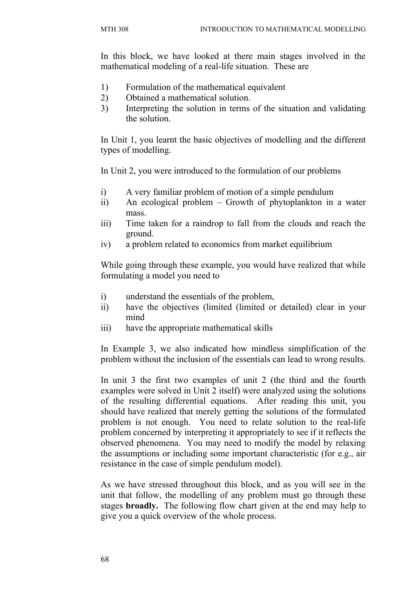In this block, we have looked at there main stages involved in the mathematical modeling of a real-life situation. These are

- 1) Formulation of the mathematical equivalent
- 2) Obtained a mathematical solution.
- 3) Interpreting the solution in terms of the situation and validating the solution.

In Unit 1, you learnt the basic objectives of modelling and the different types of modelling.

In Unit 2, you were introduced to the formulation of our problems

- i) A very familiar problem of motion of a simple pendulum
- ii) An ecological problem Growth of phytoplankton in a water mass.
- iii) Time taken for a raindrop to fall from the clouds and reach the ground.
- iv) a problem related to economics from market equilibrium

While going through these example, you would have realized that while formulating a model you need to

- i) understand the essentials of the problem,
- ii) have the objectives (limited (limited or detailed) clear in your mind
- iii) have the appropriate mathematical skills

In Example 3, we also indicated how mindless simplification of the problem without the inclusion of the essentials can lead to wrong results.

In unit 3 the first two examples of unit 2 (the third and the fourth examples were solved in Unit 2 itself) were analyzed using the solutions of the resulting differential equations. After reading this unit, you should have realized that merely getting the solutions of the formulated problem is not enough. You need to relate solution to the real-life problem concerned by interpreting it appropriately to see if it reflects the observed phenomena. You may need to modify the model by relaxing the assumptions or including some important characteristic (for e.g., air resistance in the case of simple pendulum model).

As we have stressed throughout this block, and as you will see in the unit that follow, the modelling of any problem must go through these stages **broadly.** The following flow chart given at the end may help to give you a quick overview of the whole process.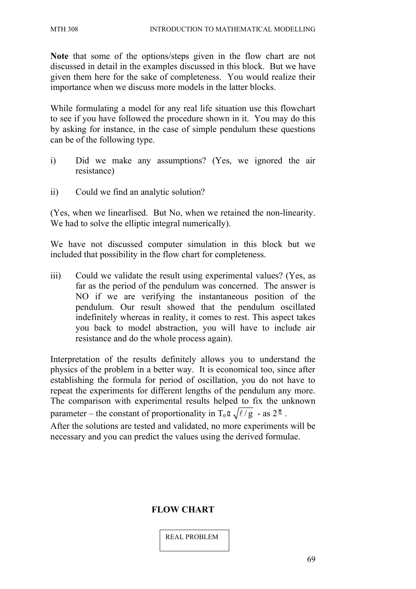**Note** that some of the options/steps given in the flow chart are not discussed in detail in the examples discussed in this block. But we have given them here for the sake of completeness. You would realize their importance when we discuss more models in the latter blocks.

While formulating a model for any real life situation use this flowchart to see if you have followed the procedure shown in it. You may do this by asking for instance, in the case of simple pendulum these questions can be of the following type.

- i) Did we make any assumptions? (Yes, we ignored the air resistance)
- ii) Could we find an analytic solution?

(Yes, when we linearlised. But No, when we retained the non-linearity. We had to solve the elliptic integral numerically).

We have not discussed computer simulation in this block but we included that possibility in the flow chart for completeness.

iii) Could we validate the result using experimental values? (Yes, as far as the period of the pendulum was concerned. The answer is NO if we are verifying the instantaneous position of the pendulum. Our result showed that the pendulum oscillated indefinitely whereas in reality, it comes to rest. This aspect takes you back to model abstraction, you will have to include air resistance and do the whole process again).

Interpretation of the results definitely allows you to understand the physics of the problem in a better way. It is economical too, since after establishing the formula for period of oscillation, you do not have to repeat the experiments for different lengths of the pendulum any more. The comparison with experimental results helped to fix the unknown parameter – the constant of proportionality in T<sub>0</sub> $\alpha \sqrt{\ell / g}$  - as 2 $\pi$ .

After the solutions are tested and validated, no more experiments will be necessary and you can predict the values using the derived formulae.

#### **FLOW CHART**

REAL PROBLEM